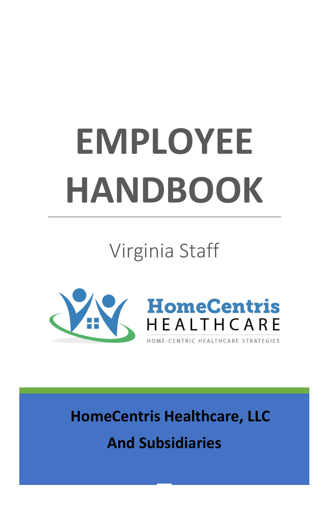# **EMPLOYEE HANDBOOK**

Virginia Staff





 **HomeCentris Healthcare, LLC And Subsidiaries**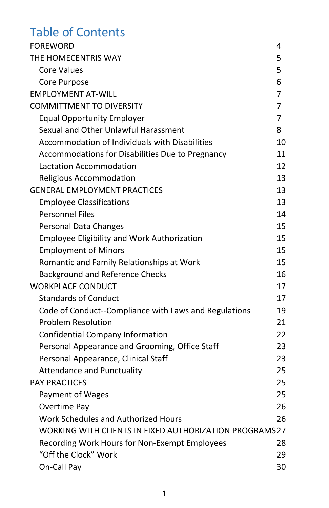# Table of Contents

| <b>FOREWORD</b>                                        | 4  |
|--------------------------------------------------------|----|
| THE HOMECENTRIS WAY                                    | 5  |
| Core Values                                            | 5. |
| Core Purpose                                           | 6  |
| <b>EMPLOYMENT AT-WILL</b>                              | 7  |
| <b>COMMITTMENT TO DIVERSITY</b>                        | 7  |
| <b>Equal Opportunity Employer</b>                      | 7  |
| Sexual and Other Unlawful Harassment                   | 8  |
| Accommodation of Individuals with Disabilities         | 10 |
| Accommodations for Disabilities Due to Pregnancy       | 11 |
| Lactation Accommodation                                | 12 |
| Religious Accommodation                                | 13 |
| <b>GENERAL EMPLOYMENT PRACTICES</b>                    | 13 |
| <b>Employee Classifications</b>                        | 13 |
| <b>Personnel Files</b>                                 | 14 |
| <b>Personal Data Changes</b>                           | 15 |
| <b>Employee Eligibility and Work Authorization</b>     | 15 |
| <b>Employment of Minors</b>                            | 15 |
| Romantic and Family Relationships at Work              | 15 |
| <b>Background and Reference Checks</b>                 | 16 |
| <b>WORKPLACE CONDUCT</b>                               | 17 |
| <b>Standards of Conduct</b>                            | 17 |
| Code of Conduct--Compliance with Laws and Regulations  | 19 |
| <b>Problem Resolution</b>                              | 21 |
| Confidential Company Information                       | 22 |
| Personal Appearance and Grooming, Office Staff         | 23 |
| Personal Appearance, Clinical Staff                    | 23 |
| <b>Attendance and Punctuality</b>                      | 25 |
| <b>PAY PRACTICES</b>                                   | 25 |
| Payment of Wages                                       | 25 |
| Overtime Pay                                           | 26 |
| Work Schedules and Authorized Hours                    | 26 |
| WORKING WITH CLIENTS IN FIXED AUTHORIZATION PROGRAMS27 |    |
| Recording Work Hours for Non-Exempt Employees          | 28 |
| "Off the Clock" Work                                   | 29 |
| On-Call Pay                                            | 30 |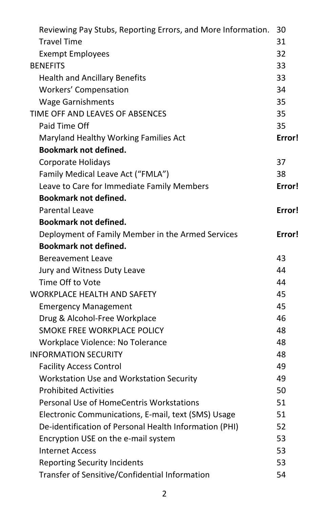| Reviewing Pay Stubs, Reporting Errors, and More Information. | 30       |  |  |  |
|--------------------------------------------------------------|----------|--|--|--|
| <b>Travel Time</b>                                           |          |  |  |  |
| <b>Exempt Employees</b>                                      |          |  |  |  |
| <b>BENEFITS</b>                                              | 32<br>33 |  |  |  |
| <b>Health and Ancillary Benefits</b>                         | 33       |  |  |  |
| <b>Workers' Compensation</b>                                 |          |  |  |  |
| <b>Wage Garnishments</b>                                     | 35       |  |  |  |
| TIME OFF AND LEAVES OF ABSENCES                              |          |  |  |  |
| Paid Time Off                                                | 35<br>35 |  |  |  |
| Maryland Healthy Working Families Act                        |          |  |  |  |
| <b>Bookmark not defined.</b>                                 | Error!   |  |  |  |
| Corporate Holidays                                           | 37       |  |  |  |
| Family Medical Leave Act ("FMLA")                            | 38       |  |  |  |
| Leave to Care for Immediate Family Members                   | Error!   |  |  |  |
| <b>Bookmark not defined.</b>                                 |          |  |  |  |
| <b>Parental Leave</b>                                        | Error!   |  |  |  |
| <b>Bookmark not defined.</b>                                 |          |  |  |  |
| Deployment of Family Member in the Armed Services            | Error!   |  |  |  |
| <b>Bookmark not defined.</b>                                 |          |  |  |  |
| <b>Bereavement Leave</b>                                     | 43       |  |  |  |
| Jury and Witness Duty Leave                                  | 44       |  |  |  |
| Time Off to Vote                                             |          |  |  |  |
| <b>WORKPLACE HEALTH AND SAFETY</b>                           | 45       |  |  |  |
| <b>Emergency Management</b>                                  | 45       |  |  |  |
| Drug & Alcohol-Free Workplace                                |          |  |  |  |
| SMOKE FREE WORKPLACE POLICY                                  |          |  |  |  |
| Workplace Violence: No Tolerance                             |          |  |  |  |
| <b>INFORMATION SECURITY</b>                                  | 48       |  |  |  |
| <b>Facility Access Control</b>                               | 49       |  |  |  |
| Workstation Use and Workstation Security                     | 49       |  |  |  |
| <b>Prohibited Activities</b>                                 | 50       |  |  |  |
| Personal Use of HomeCentris Workstations                     | 51       |  |  |  |
| Electronic Communications, E-mail, text (SMS) Usage          | 51       |  |  |  |
| De-identification of Personal Health Information (PHI)       | 52       |  |  |  |
| Encryption USE on the e-mail system                          | 53       |  |  |  |
| <b>Internet Access</b>                                       | 53       |  |  |  |
| <b>Reporting Security Incidents</b>                          | 53       |  |  |  |
| Transfer of Sensitive/Confidential Information               | 54       |  |  |  |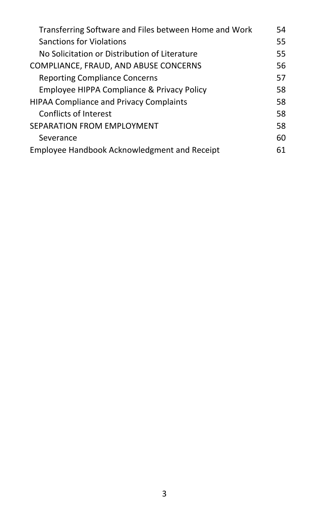| Transferring Software and Files between Home and Work | 54 |  |  |  |
|-------------------------------------------------------|----|--|--|--|
| <b>Sanctions for Violations</b>                       | 55 |  |  |  |
| No Solicitation or Distribution of Literature         | 55 |  |  |  |
| COMPLIANCE, FRAUD, AND ABUSE CONCERNS                 |    |  |  |  |
| <b>Reporting Compliance Concerns</b>                  | 57 |  |  |  |
| Employee HIPPA Compliance & Privacy Policy            | 58 |  |  |  |
| <b>HIPAA Compliance and Privacy Complaints</b>        |    |  |  |  |
| Conflicts of Interest                                 | 58 |  |  |  |
| SEPARATION FROM EMPLOYMENT                            |    |  |  |  |
| Severance                                             | 60 |  |  |  |
| Employee Handbook Acknowledgment and Receipt          |    |  |  |  |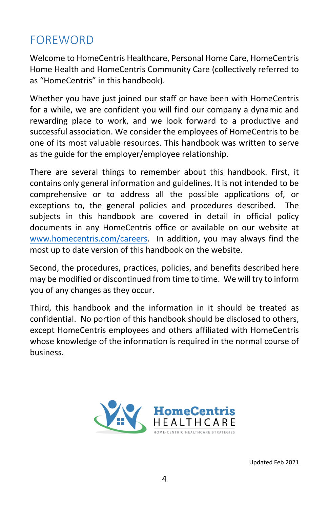# <span id="page-4-0"></span>FOREWORD

Welcome to HomeCentris Healthcare, Personal Home Care, HomeCentris Home Health and HomeCentris Community Care (collectively referred to as "HomeCentris" in this handbook).

Whether you have just joined our staff or have been with HomeCentris for a while, we are confident you will find our company a dynamic and rewarding place to work, and we look forward to a productive and successful association. We consider the employees of HomeCentris to be one of its most valuable resources. This handbook was written to serve as the guide for the employer/employee relationship.

There are several things to remember about this handbook. First, it contains only general information and guidelines. It is not intended to be comprehensive or to address all the possible applications of, or exceptions to, the general policies and procedures described. The subjects in this handbook are covered in detail in official policy documents in any HomeCentris office or available on our website at [www.homecentris.com/careers.](http://www.homecentris.com/careers) In addition, you may always find the most up to date version of this handbook on the website.

Second, the procedures, practices, policies, and benefits described here may be modified or discontinued from time to time. We will try to inform you of any changes as they occur.

Third, this handbook and the information in it should be treated as confidential. No portion of this handbook should be disclosed to others, except HomeCentris employees and others affiliated with HomeCentris whose knowledge of the information is required in the normal course of business.

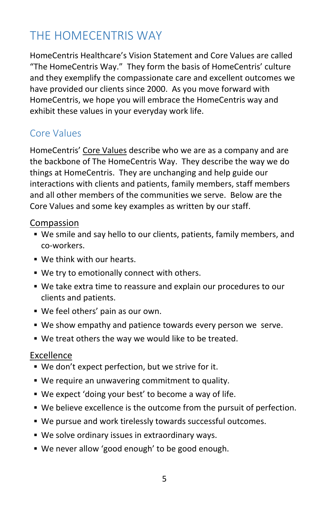# <span id="page-5-0"></span>THE HOMECENTRIS WAY

HomeCentris Healthcare's Vision Statement and Core Values are called "The HomeCentris Way." They form the basis of HomeCentris' culture and they exemplify the compassionate care and excellent outcomes we have provided our clients since 2000. As you move forward with HomeCentris, we hope you will embrace the HomeCentris way and exhibit these values in your everyday work life.

#### <span id="page-5-1"></span>Core Values

HomeCentris' Core Values describe who we are as a company and are the backbone of The HomeCentris Way. They describe the way we do things at HomeCentris. They are unchanging and help guide our interactions with clients and patients, family members, staff members and all other members of the communities we serve. Below are the Core Values and some key examples as written by our staff.

#### Compassion

- We smile and say hello to our clients, patients, family members, and co-workers.
- We think with our hearts.
- We try to emotionally connect with others.
- We take extra time to reassure and explain our procedures to our clients and patients.
- We feel others' pain as our own.
- We show empathy and patience towards every person we serve.
- We treat others the way we would like to be treated.

#### Excellence

- We don't expect perfection, but we strive for it.
- We require an unwavering commitment to quality.
- We expect 'doing your best' to become a way of life.
- We believe excellence is the outcome from the pursuit of perfection.
- We pursue and work tirelessly towards successful outcomes.
- We solve ordinary issues in extraordinary ways.
- We never allow 'good enough' to be good enough.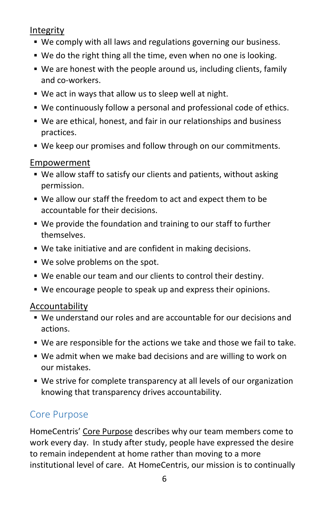#### Integrity

- We comply with all laws and regulations governing our business.
- We do the right thing all the time, even when no one is looking.
- We are honest with the people around us, including clients, family and co-workers.
- We act in ways that allow us to sleep well at night.
- We continuously follow a personal and professional code of ethics.
- We are ethical, honest, and fair in our relationships and business practices.
- We keep our promises and follow through on our commitments.

#### Empowerment

- We allow staff to satisfy our clients and patients, without asking permission.
- We allow our staff the freedom to act and expect them to be accountable for their decisions.
- We provide the foundation and training to our staff to further themselves.
- We take initiative and are confident in making decisions.
- We solve problems on the spot.
- We enable our team and our clients to control their destiny.
- We encourage people to speak up and express their opinions.

#### Accountability

- We understand our roles and are accountable for our decisions and actions.
- We are responsible for the actions we take and those we fail to take.
- We admit when we make bad decisions and are willing to work on our mistakes.
- We strive for complete transparency at all levels of our organization knowing that transparency drives accountability.

## <span id="page-6-0"></span>Core Purpose

HomeCentris' Core Purpose describes why our team members come to work every day. In study after study, people have expressed the desire to remain independent at home rather than moving to a more institutional level of care. At HomeCentris, our mission is to continually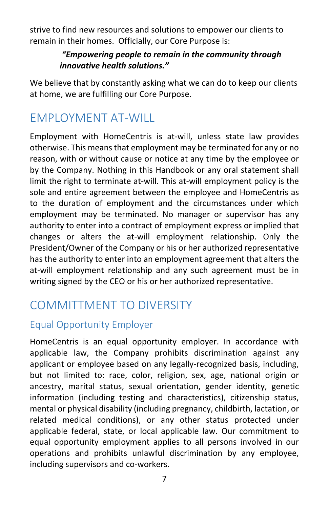strive to find new resources and solutions to empower our clients to remain in their homes. Officially, our Core Purpose is:

#### *"Empowering people to remain in the community through innovative health solutions."*

We believe that by constantly asking what we can do to keep our clients at home, we are fulfilling our Core Purpose.

# <span id="page-7-0"></span>EMPLOYMENT AT-WILL

Employment with HomeCentris is at-will, unless state law provides otherwise. This means that employment may be terminated for any or no reason, with or without cause or notice at any time by the employee or by the Company. Nothing in this Handbook or any oral statement shall limit the right to terminate at-will. This at-will employment policy is the sole and entire agreement between the employee and HomeCentris as to the duration of employment and the circumstances under which employment may be terminated. No manager or supervisor has any authority to enter into a contract of employment express or implied that changes or alters the at-will employment relationship. Only the President/Owner of the Company or his or her authorized representative has the authority to enter into an employment agreement that alters the at-will employment relationship and any such agreement must be in writing signed by the CEO or his or her authorized representative.

# <span id="page-7-1"></span>COMMITTMENT TO DIVERSITY

## <span id="page-7-2"></span>Equal Opportunity Employer

HomeCentris is an equal opportunity employer. In accordance with applicable law, the Company prohibits discrimination against any applicant or employee based on any legally-recognized basis, including, but not limited to: race, color, religion, sex, age, national origin or ancestry, marital status, sexual orientation, gender identity, genetic information (including testing and characteristics), citizenship status, mental or physical disability (including pregnancy, childbirth, lactation, or related medical conditions), or any other status protected under applicable federal, state, or local applicable law. Our commitment to equal opportunity employment applies to all persons involved in our operations and prohibits unlawful discrimination by any employee, including supervisors and co-workers.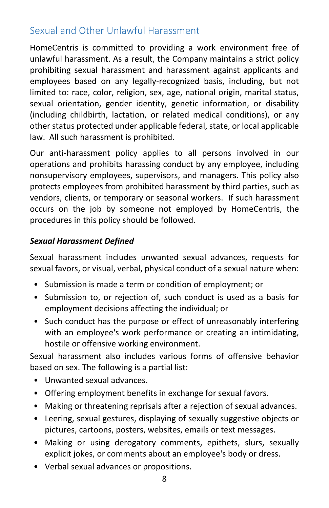## <span id="page-8-0"></span>Sexual and Other Unlawful Harassment

HomeCentris is committed to providing a work environment free of unlawful harassment. As a result, the Company maintains a strict policy prohibiting sexual harassment and harassment against applicants and employees based on any legally-recognized basis, including, but not limited to: race, color, religion, sex, age, national origin, marital status, sexual orientation, gender identity, genetic information, or disability (including childbirth, lactation, or related medical conditions), or any other status protected under applicable federal, state, or local applicable law. All such harassment is prohibited.

Our anti-harassment policy applies to all persons involved in our operations and prohibits harassing conduct by any employee, including nonsupervisory employees, supervisors, and managers. This policy also protects employees from prohibited harassment by third parties, such as vendors, clients, or temporary or seasonal workers. If such harassment occurs on the job by someone not employed by HomeCentris, the procedures in this policy should be followed.

#### *Sexual Harassment Defined*

Sexual harassment includes unwanted sexual advances, requests for sexual favors, or visual, verbal, physical conduct of a sexual nature when:

- Submission is made a term or condition of employment; or
- Submission to, or rejection of, such conduct is used as a basis for employment decisions affecting the individual; or
- Such conduct has the purpose or effect of unreasonably interfering with an employee's work performance or creating an intimidating, hostile or offensive working environment.

Sexual harassment also includes various forms of offensive behavior based on sex. The following is a partial list:

- Unwanted sexual advances.
- Offering employment benefits in exchange for sexual favors.
- Making or threatening reprisals after a rejection of sexual advances.
- Leering, sexual gestures, displaying of sexually suggestive objects or pictures, cartoons, posters, websites, emails or text messages.
- Making or using derogatory comments, epithets, slurs, sexually explicit jokes, or comments about an employee's body or dress.
- Verbal sexual advances or propositions.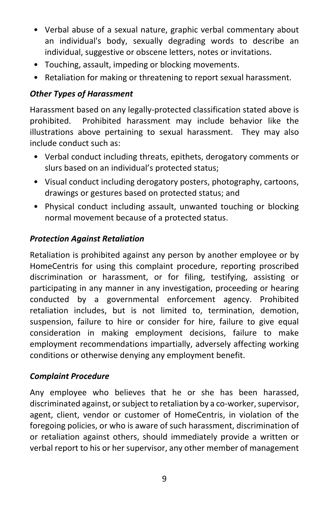- Verbal abuse of a sexual nature, graphic verbal commentary about an individual's body, sexually degrading words to describe an individual, suggestive or obscene letters, notes or invitations.
- Touching, assault, impeding or blocking movements.
- Retaliation for making or threatening to report sexual harassment.

#### *Other Types of Harassment*

Harassment based on any legally-protected classification stated above is prohibited. Prohibited harassment may include behavior like the illustrations above pertaining to sexual harassment. They may also include conduct such as:

- Verbal conduct including threats, epithets, derogatory comments or slurs based on an individual's protected status;
- Visual conduct including derogatory posters, photography, cartoons, drawings or gestures based on protected status; and
- Physical conduct including assault, unwanted touching or blocking normal movement because of a protected status.

#### *Protection Against Retaliation*

Retaliation is prohibited against any person by another employee or by HomeCentris for using this complaint procedure, reporting proscribed discrimination or harassment, or for filing, testifying, assisting or participating in any manner in any investigation, proceeding or hearing conducted by a governmental enforcement agency. Prohibited retaliation includes, but is not limited to, termination, demotion, suspension, failure to hire or consider for hire, failure to give equal consideration in making employment decisions, failure to make employment recommendations impartially, adversely affecting working conditions or otherwise denying any employment benefit.

#### *Complaint Procedure*

Any employee who believes that he or she has been harassed, discriminated against, or subject to retaliation by a co-worker, supervisor, agent, client, vendor or customer of HomeCentris, in violation of the foregoing policies, or who is aware of such harassment, discrimination of or retaliation against others, should immediately provide a written or verbal report to his or her supervisor, any other member of management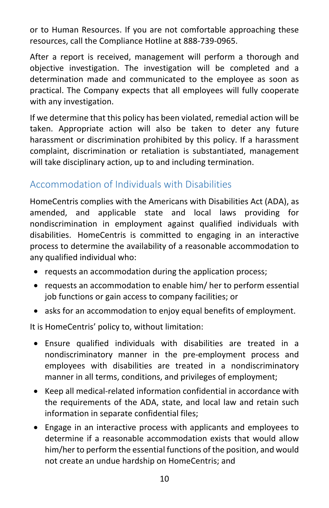or to Human Resources. If you are not comfortable approaching these resources, call the Compliance Hotline at 888-739-0965.

After a report is received, management will perform a thorough and objective investigation. The investigation will be completed and a determination made and communicated to the employee as soon as practical. The Company expects that all employees will fully cooperate with any investigation.

If we determine that this policy has been violated, remedial action will be taken. Appropriate action will also be taken to deter any future harassment or discrimination prohibited by this policy. If a harassment complaint, discrimination or retaliation is substantiated, management will take disciplinary action, up to and including termination.

## <span id="page-10-0"></span>Accommodation of Individuals with Disabilities

HomeCentris complies with the Americans with Disabilities Act (ADA), as amended, and applicable state and local laws providing for nondiscrimination in employment against qualified individuals with disabilities. HomeCentris is committed to engaging in an interactive process to determine the availability of a reasonable accommodation to any qualified individual who:

- requests an accommodation during the application process;
- requests an accommodation to enable him/ her to perform essential job functions or gain access to company facilities; or
- asks for an accommodation to enjoy equal benefits of employment.

It is HomeCentris' policy to, without limitation:

- Ensure qualified individuals with disabilities are treated in a nondiscriminatory manner in the pre-employment process and employees with disabilities are treated in a nondiscriminatory manner in all terms, conditions, and privileges of employment;
- Keep all medical-related information confidential in accordance with the requirements of the ADA, state, and local law and retain such information in separate confidential files;
- Engage in an interactive process with applicants and employees to determine if a reasonable accommodation exists that would allow him/her to perform the essential functions of the position, and would not create an undue hardship on HomeCentris; and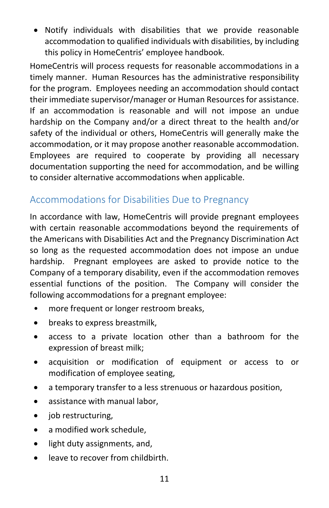• Notify individuals with disabilities that we provide reasonable accommodation to qualified individuals with disabilities, by including this policy in HomeCentris' employee handbook.

HomeCentris will process requests for reasonable accommodations in a timely manner. Human Resources has the administrative responsibility for the program. Employees needing an accommodation should contact their immediate supervisor/manager or Human Resources for assistance. If an accommodation is reasonable and will not impose an undue hardship on the Company and/or a direct threat to the health and/or safety of the individual or others, HomeCentris will generally make the accommodation, or it may propose another reasonable accommodation. Employees are required to cooperate by providing all necessary documentation supporting the need for accommodation, and be willing to consider alternative accommodations when applicable.

## <span id="page-11-0"></span>Accommodations for Disabilities Due to Pregnancy

In accordance with law, HomeCentris will provide pregnant employees with certain reasonable accommodations beyond the requirements of the Americans with Disabilities Act and the Pregnancy Discrimination Act so long as the requested accommodation does not impose an undue hardship. Pregnant employees are asked to provide notice to the Company of a temporary disability, even if the accommodation removes essential functions of the position. The Company will consider the following accommodations for a pregnant employee:

- more frequent or longer restroom breaks,
- breaks to express breastmilk,
- access to a private location other than a bathroom for the expression of breast milk;
- acquisition or modification of equipment or access to or modification of employee seating,
- a temporary transfer to a less strenuous or hazardous position,
- assistance with manual labor,
- job restructuring,
- a modified work schedule,
- light duty assignments, and,
- leave to recover from childbirth.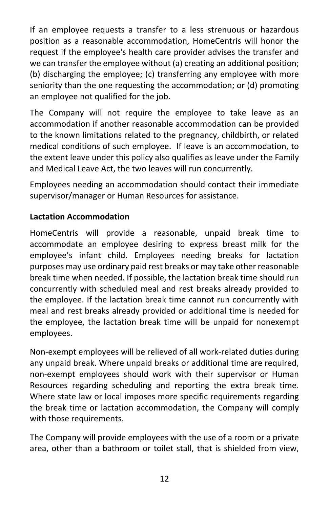If an employee requests a transfer to a less strenuous or hazardous position as a reasonable accommodation, HomeCentris will honor the request if the employee's health care provider advises the transfer and we can transfer the employee without (a) creating an additional position; (b) discharging the employee; (c) transferring any employee with more seniority than the one requesting the accommodation; or (d) promoting an employee not qualified for the job.

The Company will not require the employee to take leave as an accommodation if another reasonable accommodation can be provided to the known limitations related to the pregnancy, childbirth, or related medical conditions of such employee. If leave is an accommodation, to the extent leave under this policy also qualifies as leave under the Family and Medical Leave Act, the two leaves will run concurrently.

Employees needing an accommodation should contact their immediate supervisor/manager or Human Resources for assistance.

#### <span id="page-12-0"></span>**Lactation Accommodation**

HomeCentris will provide a reasonable, unpaid break time to accommodate an employee desiring to express breast milk for the employee's infant child. Employees needing breaks for lactation purposes may use ordinary paid rest breaks or may take other reasonable break time when needed. If possible, the lactation break time should run concurrently with scheduled meal and rest breaks already provided to the employee. If the lactation break time cannot run concurrently with meal and rest breaks already provided or additional time is needed for the employee, the lactation break time will be unpaid for nonexempt employees.

Non-exempt employees will be relieved of all work-related duties during any unpaid break. Where unpaid breaks or additional time are required, non-exempt employees should work with their supervisor or Human Resources regarding scheduling and reporting the extra break time. Where state law or local imposes more specific requirements regarding the break time or lactation accommodation, the Company will comply with those requirements.

The Company will provide employees with the use of a room or a private area, other than a bathroom or toilet stall, that is shielded from view,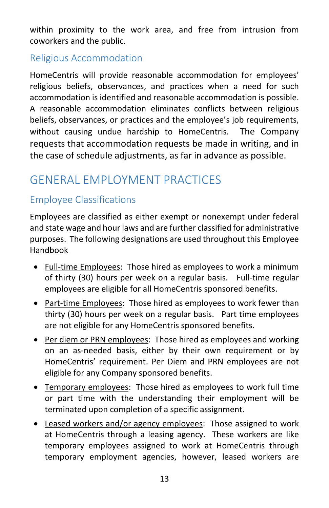within proximity to the work area, and free from intrusion from coworkers and the public.

## <span id="page-13-0"></span>Religious Accommodation

HomeCentris will provide reasonable accommodation for employees' religious beliefs, observances, and practices when a need for such accommodation is identified and reasonable accommodation is possible. A reasonable accommodation eliminates conflicts between religious beliefs, observances, or practices and the employee's job requirements, without causing undue hardship to HomeCentris. The Company requests that accommodation requests be made in writing, and in the case of schedule adjustments, as far in advance as possible.

# <span id="page-13-1"></span>GENERAL EMPLOYMENT PRACTICES

## <span id="page-13-2"></span>Employee Classifications

Employees are classified as either exempt or nonexempt under federal and state wage and hour laws and are further classified for administrative purposes. The following designations are used throughout this Employee Handbook

- Full-time Employees: Those hired as employees to work a minimum of thirty (30) hours per week on a regular basis. Full-time regular employees are eligible for all HomeCentris sponsored benefits.
- Part-time Employees: Those hired as employees to work fewer than thirty (30) hours per week on a regular basis. Part time employees are not eligible for any HomeCentris sponsored benefits.
- Per diem or PRN employees: Those hired as employees and working on an as-needed basis, either by their own requirement or by HomeCentris' requirement. Per Diem and PRN employees are not eligible for any Company sponsored benefits.
- Temporary employees: Those hired as employees to work full time or part time with the understanding their employment will be terminated upon completion of a specific assignment.
- Leased workers and/or agency employees: Those assigned to work at HomeCentris through a leasing agency. These workers are like temporary employees assigned to work at HomeCentris through temporary employment agencies, however, leased workers are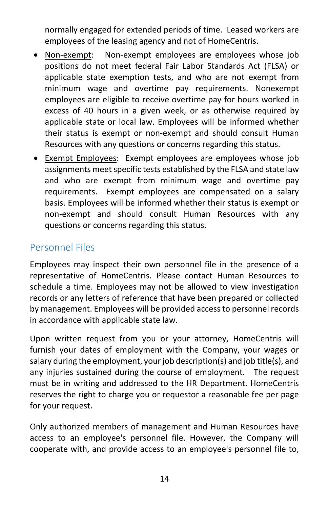normally engaged for extended periods of time. Leased workers are employees of the leasing agency and not of HomeCentris.

- Non-exempt: Non-exempt employees are employees whose job positions do not meet federal Fair Labor Standards Act (FLSA) or applicable state exemption tests, and who are not exempt from minimum wage and overtime pay requirements. Nonexempt employees are eligible to receive overtime pay for hours worked in excess of 40 hours in a given week, or as otherwise required by applicable state or local law. Employees will be informed whether their status is exempt or non-exempt and should consult Human Resources with any questions or concerns regarding this status.
- Exempt Employees: Exempt employees are employees whose job assignments meet specific tests established by the FLSA and state law and who are exempt from minimum wage and overtime pay requirements. Exempt employees are compensated on a salary basis. Employees will be informed whether their status is exempt or non-exempt and should consult Human Resources with any questions or concerns regarding this status.

## <span id="page-14-0"></span>Personnel Files

Employees may inspect their own personnel file in the presence of a representative of HomeCentris. Please contact Human Resources to schedule a time. Employees may not be allowed to view investigation records or any letters of reference that have been prepared or collected by management. Employees will be provided access to personnel records in accordance with applicable state law.

Upon written request from you or your attorney, HomeCentris will furnish your dates of employment with the Company, your wages or salary during the employment, your job description(s) and job title(s), and any injuries sustained during the course of employment. The request must be in writing and addressed to the HR Department. HomeCentris reserves the right to charge you or requestor a reasonable fee per page for your request.

Only authorized members of management and Human Resources have access to an employee's personnel file. However, the Company will cooperate with, and provide access to an employee's personnel file to,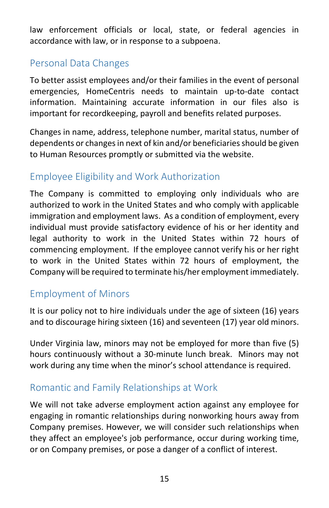law enforcement officials or local, state, or federal agencies in accordance with law, or in response to a subpoena.

## <span id="page-15-0"></span>Personal Data Changes

To better assist employees and/or their families in the event of personal emergencies, HomeCentris needs to maintain up-to-date contact information. Maintaining accurate information in our files also is important for recordkeeping, payroll and benefits related purposes.

Changes in name, address, telephone number, marital status, number of dependents or changes in next of kin and/or beneficiaries should be given to Human Resources promptly or submitted via the website.

## <span id="page-15-1"></span>Employee Eligibility and Work Authorization

The Company is committed to employing only individuals who are authorized to work in the United States and who comply with applicable immigration and employment laws. As a condition of employment, every individual must provide satisfactory evidence of his or her identity and legal authority to work in the United States within 72 hours of commencing employment. If the employee cannot verify his or her right to work in the United States within 72 hours of employment, the Company will be required to terminate his/her employment immediately.

## <span id="page-15-2"></span>Employment of Minors

It is our policy not to hire individuals under the age of sixteen (16) years and to discourage hiring sixteen (16) and seventeen (17) year old minors.

Under Virginia law, minors may not be employed for more than five (5) hours continuously without a 30-minute lunch break. Minors may not work during any time when the minor's school attendance is required.

## <span id="page-15-3"></span>Romantic and Family Relationships at Work

We will not take adverse employment action against any employee for engaging in romantic relationships during nonworking hours away from Company premises. However, we will consider such relationships when they affect an employee's job performance, occur during working time, or on Company premises, or pose a danger of a conflict of interest.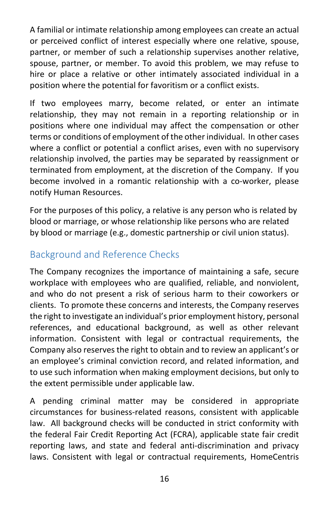A familial or intimate relationship among employees can create an actual or perceived conflict of interest especially where one relative, spouse, partner, or member of such a relationship supervises another relative, spouse, partner, or member. To avoid this problem, we may refuse to hire or place a relative or other intimately associated individual in a position where the potential for favoritism or a conflict exists.

If two employees marry, become related, or enter an intimate relationship, they may not remain in a reporting relationship or in positions where one individual may affect the compensation or other terms or conditions of employment of the other individual. In other cases where a conflict or potential a conflict arises, even with no supervisory relationship involved, the parties may be separated by reassignment or terminated from employment, at the discretion of the Company. If you become involved in a romantic relationship with a co-worker, please notify Human Resources.

For the purposes of this policy, a relative is any person who is related by blood or marriage, or whose relationship like persons who are related by blood or marriage (e.g., domestic partnership or civil union status).

## <span id="page-16-0"></span>Background and Reference Checks

The Company recognizes the importance of maintaining a safe, secure workplace with employees who are qualified, reliable, and nonviolent, and who do not present a risk of serious harm to their coworkers or clients. To promote these concerns and interests, the Company reserves the right to investigate an individual's prior employment history, personal references, and educational background, as well as other relevant information. Consistent with legal or contractual requirements, the Company also reserves the right to obtain and to review an applicant's or an employee's criminal conviction record, and related information, and to use such information when making employment decisions, but only to the extent permissible under applicable law.

A pending criminal matter may be considered in appropriate circumstances for business-related reasons, consistent with applicable law. All background checks will be conducted in strict conformity with the federal Fair Credit Reporting Act (FCRA), applicable state fair credit reporting laws, and state and federal anti-discrimination and privacy laws. Consistent with legal or contractual requirements, HomeCentris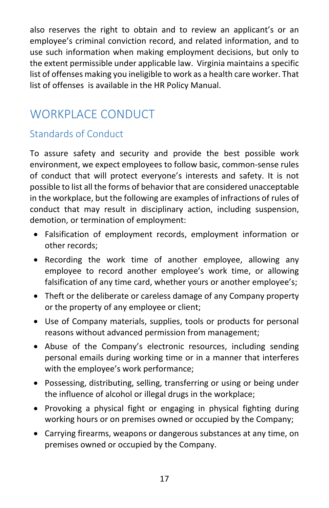also reserves the right to obtain and to review an applicant's or an employee's criminal conviction record, and related information, and to use such information when making employment decisions, but only to the extent permissible under applicable law. Virginia maintains a specific list of offenses making you ineligible to work as a health care worker. That list of offenses is available in the HR Policy Manual.

# <span id="page-17-0"></span>WORKPLACE CONDUCT

## <span id="page-17-1"></span>Standards of Conduct

To assure safety and security and provide the best possible work environment, we expect employees to follow basic, common-sense rules of conduct that will protect everyone's interests and safety. It is not possible to list all the forms of behavior that are considered unacceptable in the workplace, but the following are examples of infractions of rules of conduct that may result in disciplinary action, including suspension, demotion, or termination of employment:

- Falsification of employment records, employment information or other records;
- Recording the work time of another employee, allowing any employee to record another employee's work time, or allowing falsification of any time card, whether yours or another employee's;
- Theft or the deliberate or careless damage of any Company property or the property of any employee or client;
- Use of Company materials, supplies, tools or products for personal reasons without advanced permission from management;
- Abuse of the Company's electronic resources, including sending personal emails during working time or in a manner that interferes with the employee's work performance;
- Possessing, distributing, selling, transferring or using or being under the influence of alcohol or illegal drugs in the workplace;
- Provoking a physical fight or engaging in physical fighting during working hours or on premises owned or occupied by the Company;
- Carrying firearms, weapons or dangerous substances at any time, on premises owned or occupied by the Company.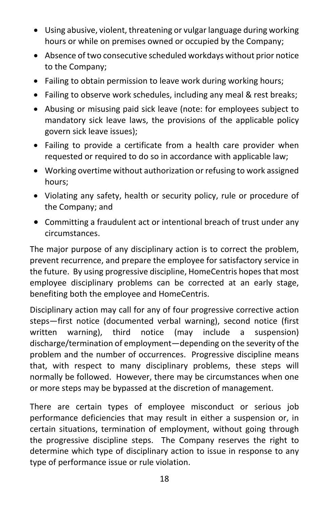- Using abusive, violent, threatening or vulgar language during working hours or while on premises owned or occupied by the Company;
- Absence of two consecutive scheduled workdays without prior notice to the Company;
- Failing to obtain permission to leave work during working hours;
- Failing to observe work schedules, including any meal & rest breaks;
- Abusing or misusing paid sick leave (note: for employees subject to mandatory sick leave laws, the provisions of the applicable policy govern sick leave issues);
- Failing to provide a certificate from a health care provider when requested or required to do so in accordance with applicable law;
- Working overtime without authorization or refusing to work assigned hours;
- Violating any safety, health or security policy, rule or procedure of the Company; and
- Committing a fraudulent act or intentional breach of trust under any circumstances.

The major purpose of any disciplinary action is to correct the problem, prevent recurrence, and prepare the employee for satisfactory service in the future. By using progressive discipline, HomeCentris hopes that most employee disciplinary problems can be corrected at an early stage, benefiting both the employee and HomeCentris.

Disciplinary action may call for any of four progressive corrective action steps—first notice (documented verbal warning), second notice (first written warning), third notice (may include a suspension) discharge/termination of employment—depending on the severity of the problem and the number of occurrences. Progressive discipline means that, with respect to many disciplinary problems, these steps will normally be followed. However, there may be circumstances when one or more steps may be bypassed at the discretion of management.

There are certain types of employee misconduct or serious job performance deficiencies that may result in either a suspension or, in certain situations, termination of employment, without going through the progressive discipline steps. The Company reserves the right to determine which type of disciplinary action to issue in response to any type of performance issue or rule violation.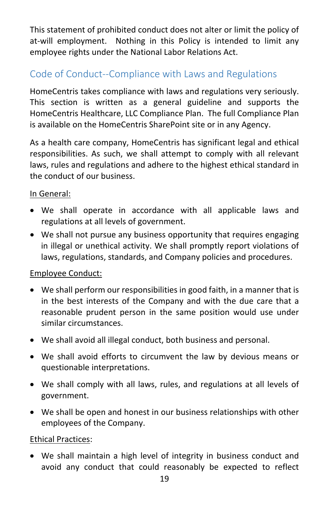This statement of prohibited conduct does not alter or limit the policy of at-will employment. Nothing in this Policy is intended to limit any employee rights under the National Labor Relations Act.

## <span id="page-19-0"></span>Code of Conduct--Compliance with Laws and Regulations

HomeCentris takes compliance with laws and regulations very seriously. This section is written as a general guideline and supports the HomeCentris Healthcare, LLC Compliance Plan. The full Compliance Plan is available on the HomeCentris SharePoint site or in any Agency.

As a health care company, HomeCentris has significant legal and ethical responsibilities. As such, we shall attempt to comply with all relevant laws, rules and regulations and adhere to the highest ethical standard in the conduct of our business.

#### In General:

- We shall operate in accordance with all applicable laws and regulations at all levels of government.
- We shall not pursue any business opportunity that requires engaging in illegal or unethical activity. We shall promptly report violations of laws, regulations, standards, and Company policies and procedures.

#### Employee Conduct:

- We shall perform our responsibilities in good faith, in a manner that is in the best interests of the Company and with the due care that a reasonable prudent person in the same position would use under similar circumstances.
- We shall avoid all illegal conduct, both business and personal.
- We shall avoid efforts to circumvent the law by devious means or questionable interpretations.
- We shall comply with all laws, rules, and regulations at all levels of government.
- We shall be open and honest in our business relationships with other employees of the Company.

#### Ethical Practices:

• We shall maintain a high level of integrity in business conduct and avoid any conduct that could reasonably be expected to reflect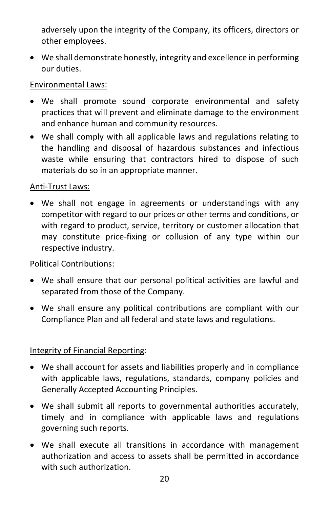adversely upon the integrity of the Company, its officers, directors or other employees.

• We shall demonstrate honestly, integrity and excellence in performing our duties.

#### Environmental Laws:

- We shall promote sound corporate environmental and safety practices that will prevent and eliminate damage to the environment and enhance human and community resources.
- We shall comply with all applicable laws and regulations relating to the handling and disposal of hazardous substances and infectious waste while ensuring that contractors hired to dispose of such materials do so in an appropriate manner.

#### Anti-Trust Laws:

• We shall not engage in agreements or understandings with any competitor with regard to our prices or other terms and conditions, or with regard to product, service, territory or customer allocation that may constitute price-fixing or collusion of any type within our respective industry.

#### Political Contributions:

- We shall ensure that our personal political activities are lawful and separated from those of the Company.
- We shall ensure any political contributions are compliant with our Compliance Plan and all federal and state laws and regulations.

#### Integrity of Financial Reporting:

- We shall account for assets and liabilities properly and in compliance with applicable laws, regulations, standards, company policies and Generally Accepted Accounting Principles.
- We shall submit all reports to governmental authorities accurately, timely and in compliance with applicable laws and regulations governing such reports.
- We shall execute all transitions in accordance with management authorization and access to assets shall be permitted in accordance with such authorization.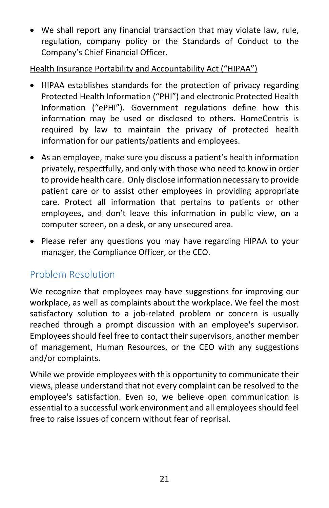• We shall report any financial transaction that may violate law, rule, regulation, company policy or the Standards of Conduct to the Company's Chief Financial Officer.

Health Insurance Portability and Accountability Act ("HIPAA")

- HIPAA establishes standards for the protection of privacy regarding Protected Health Information ("PHI") and electronic Protected Health Information ("ePHI"). Government regulations define how this information may be used or disclosed to others. HomeCentris is required by law to maintain the privacy of protected health information for our patients/patients and employees.
- As an employee, make sure you discuss a patient's health information privately, respectfully, and only with those who need to know in order to provide health care. Only disclose information necessary to provide patient care or to assist other employees in providing appropriate care. Protect all information that pertains to patients or other employees, and don't leave this information in public view, on a computer screen, on a desk, or any unsecured area.
- Please refer any questions you may have regarding HIPAA to your manager, the Compliance Officer, or the CEO.

# <span id="page-21-0"></span>Problem Resolution

We recognize that employees may have suggestions for improving our workplace, as well as complaints about the workplace. We feel the most satisfactory solution to a job-related problem or concern is usually reached through a prompt discussion with an employee's supervisor. Employees should feel free to contact their supervisors, another member of management, Human Resources, or the CEO with any suggestions and/or complaints.

While we provide employees with this opportunity to communicate their views, please understand that not every complaint can be resolved to the employee's satisfaction. Even so, we believe open communication is essential to a successful work environment and all employees should feel free to raise issues of concern without fear of reprisal.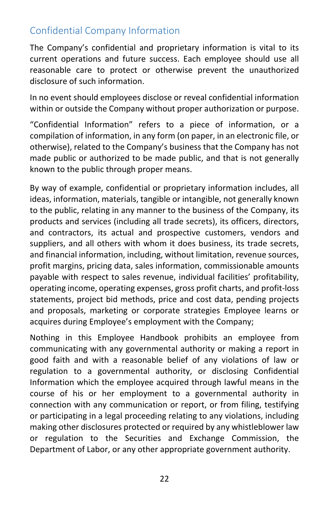## <span id="page-22-0"></span>Confidential Company Information

The Company's confidential and proprietary information is vital to its current operations and future success. Each employee should use all reasonable care to protect or otherwise prevent the unauthorized disclosure of such information.

In no event should employees disclose or reveal confidential information within or outside the Company without proper authorization or purpose.

"Confidential Information" refers to a piece of information, or a compilation of information, in any form (on paper, in an electronic file, or otherwise), related to the Company's business that the Company has not made public or authorized to be made public, and that is not generally known to the public through proper means.

By way of example, confidential or proprietary information includes, all ideas, information, materials, tangible or intangible, not generally known to the public, relating in any manner to the business of the Company, its products and services (including all trade secrets), its officers, directors, and contractors, its actual and prospective customers, vendors and suppliers, and all others with whom it does business, its trade secrets, and financial information, including, without limitation, revenue sources, profit margins, pricing data, sales information, commissionable amounts payable with respect to sales revenue, individual facilities' profitability, operating income, operating expenses, gross profit charts, and profit-loss statements, project bid methods, price and cost data, pending projects and proposals, marketing or corporate strategies Employee learns or acquires during Employee's employment with the Company;

Nothing in this Employee Handbook prohibits an employee from communicating with any governmental authority or making a report in good faith and with a reasonable belief of any violations of law or regulation to a governmental authority, or disclosing Confidential Information which the employee acquired through lawful means in the course of his or her employment to a governmental authority in connection with any communication or report, or from filing, testifying or participating in a legal proceeding relating to any violations, including making other disclosures protected or required by any whistleblower law or regulation to the Securities and Exchange Commission, the Department of Labor, or any other appropriate government authority.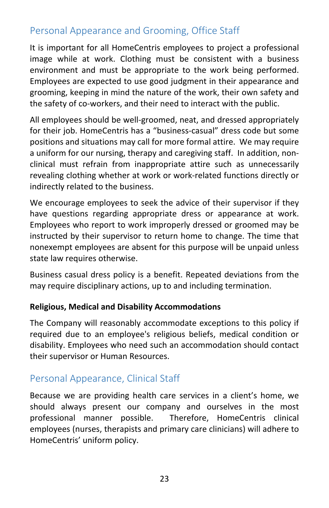## <span id="page-23-0"></span>Personal Appearance and Grooming, Office Staff

It is important for all HomeCentris employees to project a professional image while at work. Clothing must be consistent with a business environment and must be appropriate to the work being performed. Employees are expected to use good judgment in their appearance and grooming, keeping in mind the nature of the work, their own safety and the safety of co-workers, and their need to interact with the public.

All employees should be well-groomed, neat, and dressed appropriately for their job. HomeCentris has a "business-casual" dress code but some positions and situations may call for more formal attire. We may require a uniform for our nursing, therapy and caregiving staff. In addition, nonclinical must refrain from inappropriate attire such as unnecessarily revealing clothing whether at work or work-related functions directly or indirectly related to the business.

We encourage employees to seek the advice of their supervisor if they have questions regarding appropriate dress or appearance at work. Employees who report to work improperly dressed or groomed may be instructed by their supervisor to return home to change. The time that nonexempt employees are absent for this purpose will be unpaid unless state law requires otherwise.

Business casual dress policy is a benefit. Repeated deviations from the may require disciplinary actions, up to and including termination.

#### **Religious, Medical and Disability Accommodations**

The Company will reasonably accommodate exceptions to this policy if required due to an employee's religious beliefs, medical condition or disability. Employees who need such an accommodation should contact their supervisor or Human Resources.

## <span id="page-23-1"></span>Personal Appearance, Clinical Staff

Because we are providing health care services in a client's home, we should always present our company and ourselves in the most professional manner possible. Therefore, HomeCentris clinical employees (nurses, therapists and primary care clinicians) will adhere to HomeCentris' uniform policy.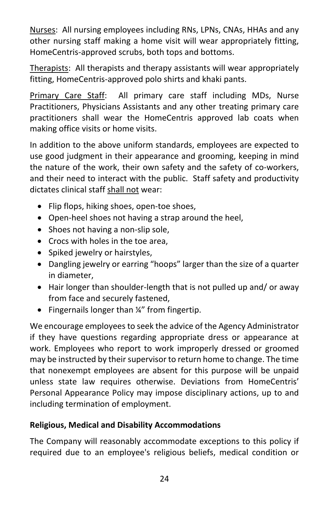Nurses: All nursing employees including RNs, LPNs, CNAs, HHAs and any other nursing staff making a home visit will wear appropriately fitting, HomeCentris-approved scrubs, both tops and bottoms.

Therapists: All therapists and therapy assistants will wear appropriately fitting, HomeCentris-approved polo shirts and khaki pants.

Primary Care Staff: All primary care staff including MDs, Nurse Practitioners, Physicians Assistants and any other treating primary care practitioners shall wear the HomeCentris approved lab coats when making office visits or home visits.

In addition to the above uniform standards, employees are expected to use good judgment in their appearance and grooming, keeping in mind the nature of the work, their own safety and the safety of co-workers, and their need to interact with the public. Staff safety and productivity dictates clinical staff shall not wear:

- Flip flops, hiking shoes, open-toe shoes,
- Open-heel shoes not having a strap around the heel,
- Shoes not having a non-slip sole,
- Crocs with holes in the toe area,
- Spiked jewelry or hairstyles,
- Dangling jewelry or earring "hoops" larger than the size of a quarter in diameter,
- Hair longer than shoulder-length that is not pulled up and/ or away from face and securely fastened,
- Fingernails longer than ¼" from fingertip.

We encourage employees to seek the advice of the Agency Administrator if they have questions regarding appropriate dress or appearance at work. Employees who report to work improperly dressed or groomed may be instructed by their supervisor to return home to change. The time that nonexempt employees are absent for this purpose will be unpaid unless state law requires otherwise. Deviations from HomeCentris' Personal Appearance Policy may impose disciplinary actions, up to and including termination of employment.

#### **Religious, Medical and Disability Accommodations**

The Company will reasonably accommodate exceptions to this policy if required due to an employee's religious beliefs, medical condition or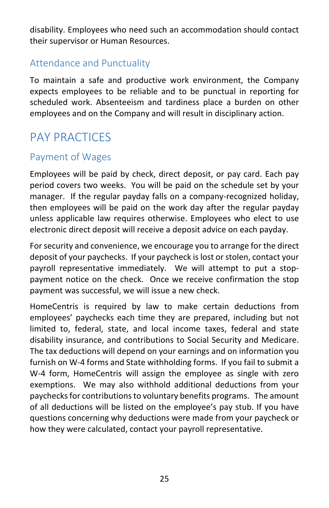disability. Employees who need such an accommodation should contact their supervisor or Human Resources.

## <span id="page-25-0"></span>Attendance and Punctuality

To maintain a safe and productive work environment, the Company expects employees to be reliable and to be punctual in reporting for scheduled work. Absenteeism and tardiness place a burden on other employees and on the Company and will result in disciplinary action.

# <span id="page-25-1"></span>PAY PRACTICES

## <span id="page-25-2"></span>Payment of Wages

Employees will be paid by check, direct deposit, or pay card. Each pay period covers two weeks. You will be paid on the schedule set by your manager. If the regular payday falls on a company-recognized holiday, then employees will be paid on the work day after the regular payday unless applicable law requires otherwise. Employees who elect to use electronic direct deposit will receive a deposit advice on each payday.

For security and convenience, we encourage you to arrange for the direct deposit of your paychecks. If your paycheck is lost or stolen, contact your payroll representative immediately. We will attempt to put a stoppayment notice on the check. Once we receive confirmation the stop payment was successful, we will issue a new check.

HomeCentris is required by law to make certain deductions from employees' paychecks each time they are prepared, including but not limited to, federal, state, and local income taxes, federal and state disability insurance, and contributions to Social Security and Medicare. The tax deductions will depend on your earnings and on information you furnish on W-4 forms and State withholding forms. If you fail to submit a W-4 form, HomeCentris will assign the employee as single with zero exemptions. We may also withhold additional deductions from your paychecks for contributions to voluntary benefits programs. The amount of all deductions will be listed on the employee's pay stub. If you have questions concerning why deductions were made from your paycheck or how they were calculated, contact your payroll representative.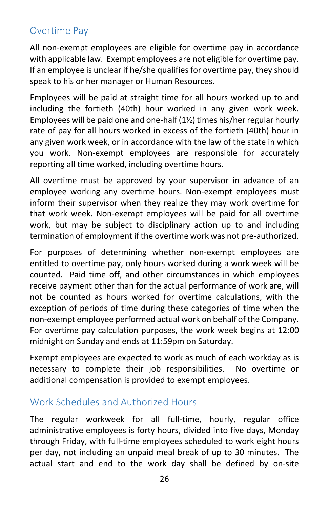## <span id="page-26-0"></span>Overtime Pay

All non-exempt employees are eligible for overtime pay in accordance with applicable law. Exempt employees are not eligible for overtime pay. If an employee is unclear if he/she qualifies for overtime pay, they should speak to his or her manager or Human Resources.

Employees will be paid at straight time for all hours worked up to and including the fortieth (40th) hour worked in any given work week. Employees will be paid one and one-half (1½) times his/her regular hourly rate of pay for all hours worked in excess of the fortieth (40th) hour in any given work week, or in accordance with the law of the state in which you work. Non-exempt employees are responsible for accurately reporting all time worked, including overtime hours.

All overtime must be approved by your supervisor in advance of an employee working any overtime hours. Non-exempt employees must inform their supervisor when they realize they may work overtime for that work week. Non-exempt employees will be paid for all overtime work, but may be subject to disciplinary action up to and including termination of employment if the overtime work was not pre-authorized.

For purposes of determining whether non-exempt employees are entitled to overtime pay, only hours worked during a work week will be counted. Paid time off, and other circumstances in which employees receive payment other than for the actual performance of work are, will not be counted as hours worked for overtime calculations, with the exception of periods of time during these categories of time when the non-exempt employee performed actual work on behalf of the Company. For overtime pay calculation purposes, the work week begins at 12:00 midnight on Sunday and ends at 11:59pm on Saturday.

Exempt employees are expected to work as much of each workday as is necessary to complete their job responsibilities. No overtime or additional compensation is provided to exempt employees.

## <span id="page-26-1"></span>Work Schedules and Authorized Hours

The regular workweek for all full-time, hourly, regular office administrative employees is forty hours, divided into five days, Monday through Friday, with full-time employees scheduled to work eight hours per day, not including an unpaid meal break of up to 30 minutes. The actual start and end to the work day shall be defined by on-site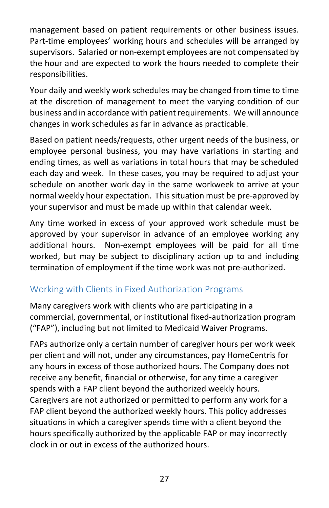management based on patient requirements or other business issues. Part-time employees' working hours and schedules will be arranged by supervisors. Salaried or non-exempt employees are not compensated by the hour and are expected to work the hours needed to complete their responsibilities.

Your daily and weekly work schedules may be changed from time to time at the discretion of management to meet the varying condition of our business and in accordance with patient requirements. We will announce changes in work schedules as far in advance as practicable.

Based on patient needs/requests, other urgent needs of the business, or employee personal business, you may have variations in starting and ending times, as well as variations in total hours that may be scheduled each day and week. In these cases, you may be required to adjust your schedule on another work day in the same workweek to arrive at your normal weekly hour expectation. This situation must be pre-approved by your supervisor and must be made up within that calendar week.

Any time worked in excess of your approved work schedule must be approved by your supervisor in advance of an employee working any additional hours. Non-exempt employees will be paid for all time worked, but may be subject to disciplinary action up to and including termination of employment if the time work was not pre-authorized.

## <span id="page-27-0"></span>Working with Clients in Fixed Authorization Programs

Many caregivers work with clients who are participating in a commercial, governmental, or institutional fixed-authorization program ("FAP"), including but not limited to Medicaid Waiver Programs.

FAPs authorize only a certain number of caregiver hours per work week per client and will not, under any circumstances, pay HomeCentris for any hours in excess of those authorized hours. The Company does not receive any benefit, financial or otherwise, for any time a caregiver spends with a FAP client beyond the authorized weekly hours. Caregivers are not authorized or permitted to perform any work for a FAP client beyond the authorized weekly hours. This policy addresses situations in which a caregiver spends time with a client beyond the hours specifically authorized by the applicable FAP or may incorrectly clock in or out in excess of the authorized hours.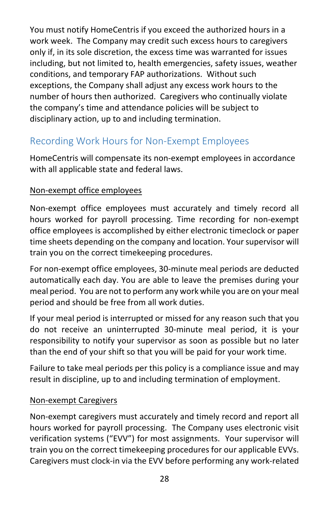You must notify HomeCentris if you exceed the authorized hours in a work week. The Company may credit such excess hours to caregivers only if, in its sole discretion, the excess time was warranted for issues including, but not limited to, health emergencies, safety issues, weather conditions, and temporary FAP authorizations. Without such exceptions, the Company shall adjust any excess work hours to the number of hours then authorized. Caregivers who continually violate the company's time and attendance policies will be subject to disciplinary action, up to and including termination.

## <span id="page-28-0"></span>Recording Work Hours for Non-Exempt Employees

HomeCentris will compensate its non-exempt employees in accordance with all applicable state and federal laws.

#### Non-exempt office employees

Non-exempt office employees must accurately and timely record all hours worked for payroll processing. Time recording for non-exempt office employees is accomplished by either electronic timeclock or paper time sheets depending on the company and location. Your supervisor will train you on the correct timekeeping procedures.

For non-exempt office employees, 30-minute meal periods are deducted automatically each day. You are able to leave the premises during your meal period. You are not to perform any work while you are on your meal period and should be free from all work duties.

If your meal period is interrupted or missed for any reason such that you do not receive an uninterrupted 30-minute meal period, it is your responsibility to notify your supervisor as soon as possible but no later than the end of your shift so that you will be paid for your work time.

Failure to take meal periods per this policy is a compliance issue and may result in discipline, up to and including termination of employment.

#### Non-exempt Caregivers

Non-exempt caregivers must accurately and timely record and report all hours worked for payroll processing. The Company uses electronic visit verification systems ("EVV") for most assignments. Your supervisor will train you on the correct timekeeping procedures for our applicable EVVs. Caregivers must clock-in via the EVV before performing any work-related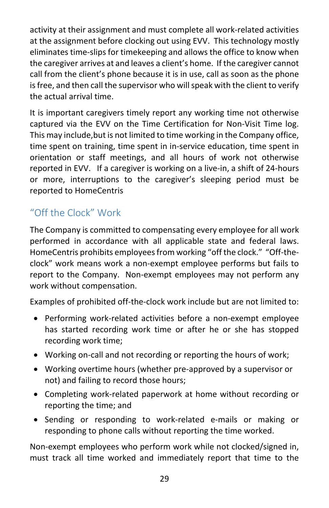activity at their assignment and must complete all work-related activities at the assignment before clocking out using EVV. This technology mostly eliminates time-slips for timekeeping and allows the office to know when the caregiver arrives at and leaves a client's home. If the caregiver cannot call from the client's phone because it is in use, call as soon as the phone is free, and then call the supervisor who will speak with the client to verify the actual arrival time.

It is important caregivers timely report any working time not otherwise captured via the EVV on the Time Certification for Non-Visit Time log. This may include,but is not limited to time working in the Company office, time spent on training, time spent in in-service education, time spent in orientation or staff meetings, and all hours of work not otherwise reported in EVV. If a caregiver is working on a live-in, a shift of 24-hours or more, interruptions to the caregiver's sleeping period must be reported to HomeCentris

# <span id="page-29-0"></span>"Off the Clock" Work

The Company is committed to compensating every employee for all work performed in accordance with all applicable state and federal laws. HomeCentris prohibits employees from working "off the clock." "Off-theclock" work means work a non-exempt employee performs but fails to report to the Company. Non-exempt employees may not perform any work without compensation.

Examples of prohibited off-the-clock work include but are not limited to:

- Performing work-related activities before a non-exempt employee has started recording work time or after he or she has stopped recording work time;
- Working on-call and not recording or reporting the hours of work;
- Working overtime hours (whether pre-approved by a supervisor or not) and failing to record those hours;
- Completing work-related paperwork at home without recording or reporting the time; and
- Sending or responding to work-related e-mails or making or responding to phone calls without reporting the time worked.

Non-exempt employees who perform work while not clocked/signed in, must track all time worked and immediately report that time to the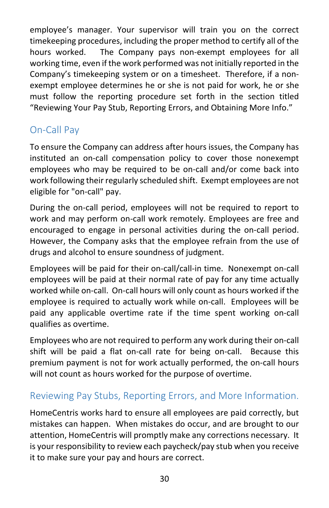employee's manager. Your supervisor will train you on the correct timekeeping procedures, including the proper method to certify all of the hours worked. The Company pays non-exempt employees for all working time, even if the work performed was not initially reported in the Company's timekeeping system or on a timesheet. Therefore, if a nonexempt employee determines he or she is not paid for work, he or she must follow the reporting procedure set forth in the section titled "Reviewing Your Pay Stub, Reporting Errors, and Obtaining More Info."

## <span id="page-30-0"></span>On-Call Pay

To ensure the Company can address after hours issues, the Company has instituted an on-call compensation policy to cover those nonexempt employees who may be required to be on-call and/or come back into work following their regularly scheduled shift. Exempt employees are not eligible for "on-call" pay.

During the on-call period, employees will not be required to report to work and may perform on-call work remotely. Employees are free and encouraged to engage in personal activities during the on-call period. However, the Company asks that the employee refrain from the use of drugs and alcohol to ensure soundness of judgment.

Employees will be paid for their on-call/call-in time. Nonexempt on-call employees will be paid at their normal rate of pay for any time actually worked while on-call. On-call hours will only count as hours worked if the employee is required to actually work while on-call. Employees will be paid any applicable overtime rate if the time spent working on-call qualifies as overtime.

Employees who are not required to perform any work during their on-call shift will be paid a flat on-call rate for being on-call. Because this premium payment is not for work actually performed, the on-call hours will not count as hours worked for the purpose of overtime.

## <span id="page-30-1"></span>Reviewing Pay Stubs, Reporting Errors, and More Information.

HomeCentris works hard to ensure all employees are paid correctly, but mistakes can happen. When mistakes do occur, and are brought to our attention, HomeCentris will promptly make any corrections necessary. It is your responsibility to review each paycheck/pay stub when you receive it to make sure your pay and hours are correct.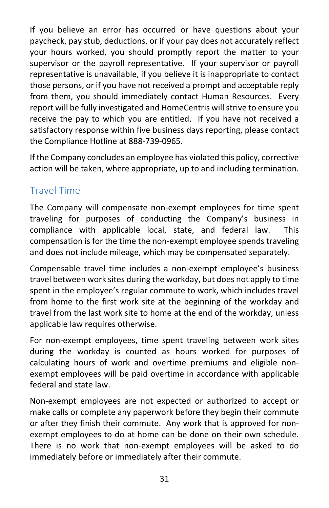If you believe an error has occurred or have questions about your paycheck, pay stub, deductions, or if your pay does not accurately reflect your hours worked, you should promptly report the matter to your supervisor or the payroll representative. If your supervisor or payroll representative is unavailable, if you believe it is inappropriate to contact those persons, or if you have not received a prompt and acceptable reply from them, you should immediately contact Human Resources. Every report will be fully investigated and HomeCentris will strive to ensure you receive the pay to which you are entitled. If you have not received a satisfactory response within five business days reporting, please contact the Compliance Hotline at 888-739-0965.

If the Company concludes an employee has violated this policy, corrective action will be taken, where appropriate, up to and including termination.

## <span id="page-31-0"></span>Travel Time

The Company will compensate non-exempt employees for time spent traveling for purposes of conducting the Company's business in compliance with applicable local, state, and federal law. This compensation is for the time the non-exempt employee spends traveling and does not include mileage, which may be compensated separately.

Compensable travel time includes a non-exempt employee's business travel between work sites during the workday, but does not apply to time spent in the employee's regular commute to work, which includes travel from home to the first work site at the beginning of the workday and travel from the last work site to home at the end of the workday, unless applicable law requires otherwise.

For non-exempt employees, time spent traveling between work sites during the workday is counted as hours worked for purposes of calculating hours of work and overtime premiums and eligible nonexempt employees will be paid overtime in accordance with applicable federal and state law.

Non-exempt employees are not expected or authorized to accept or make calls or complete any paperwork before they begin their commute or after they finish their commute. Any work that is approved for nonexempt employees to do at home can be done on their own schedule. There is no work that non-exempt employees will be asked to do immediately before or immediately after their commute.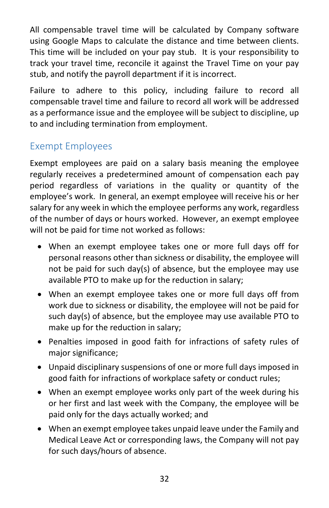All compensable travel time will be calculated by Company software using Google Maps to calculate the distance and time between clients. This time will be included on your pay stub. It is your responsibility to track your travel time, reconcile it against the Travel Time on your pay stub, and notify the payroll department if it is incorrect.

Failure to adhere to this policy, including failure to record all compensable travel time and failure to record all work will be addressed as a performance issue and the employee will be subject to discipline, up to and including termination from employment.

## <span id="page-32-0"></span>Exempt Employees

Exempt employees are paid on a salary basis meaning the employee regularly receives a predetermined amount of compensation each pay period regardless of variations in the quality or quantity of the employee's work. In general, an exempt employee will receive his or her salary for any week in which the employee performs any work, regardless of the number of days or hours worked. However, an exempt employee will not be paid for time not worked as follows:

- When an exempt employee takes one or more full days off for personal reasons other than sickness or disability, the employee will not be paid for such day(s) of absence, but the employee may use available PTO to make up for the reduction in salary;
- When an exempt employee takes one or more full days off from work due to sickness or disability, the employee will not be paid for such day(s) of absence, but the employee may use available PTO to make up for the reduction in salary;
- Penalties imposed in good faith for infractions of safety rules of major significance;
- Unpaid disciplinary suspensions of one or more full days imposed in good faith for infractions of workplace safety or conduct rules;
- When an exempt employee works only part of the week during his or her first and last week with the Company, the employee will be paid only for the days actually worked; and
- When an exempt employee takes unpaid leave under the Family and Medical Leave Act or corresponding laws, the Company will not pay for such days/hours of absence.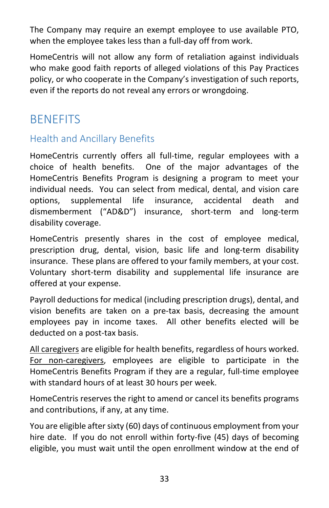The Company may require an exempt employee to use available PTO, when the employee takes less than a full-day off from work.

HomeCentris will not allow any form of retaliation against individuals who make good faith reports of alleged violations of this Pay Practices policy, or who cooperate in the Company's investigation of such reports, even if the reports do not reveal any errors or wrongdoing.

# <span id="page-33-0"></span>**BENEFITS**

## <span id="page-33-1"></span>Health and Ancillary Benefits

HomeCentris currently offers all full-time, regular employees with a choice of health benefits. One of the major advantages of the HomeCentris Benefits Program is designing a program to meet your individual needs. You can select from medical, dental, and vision care options, supplemental life insurance, accidental death and dismemberment ("AD&D") insurance, short-term and long-term disability coverage.

HomeCentris presently shares in the cost of employee medical, prescription drug, dental, vision, basic life and long-term disability insurance. These plans are offered to your family members, at your cost. Voluntary short-term disability and supplemental life insurance are offered at your expense.

Payroll deductions for medical (including prescription drugs), dental, and vision benefits are taken on a pre-tax basis, decreasing the amount employees pay in income taxes. All other benefits elected will be deducted on a post-tax basis.

All caregivers are eligible for health benefits, regardless of hours worked. For non-caregivers, employees are eligible to participate in the HomeCentris Benefits Program if they are a regular, full-time employee with standard hours of at least 30 hours per week.

HomeCentris reserves the right to amend or cancel its benefits programs and contributions, if any, at any time.

You are eligible after sixty (60) days of continuous employment from your hire date. If you do not enroll within forty-five (45) days of becoming eligible, you must wait until the open enrollment window at the end of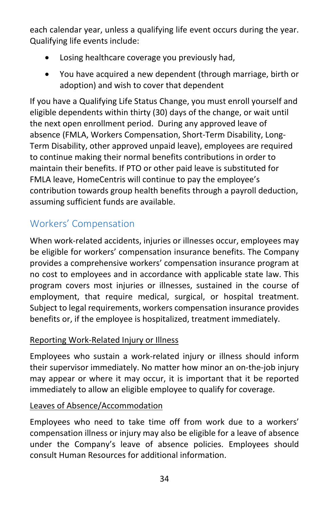each calendar year, unless a qualifying life event occurs during the year. Qualifying life events include:

- Losing healthcare coverage you previously had,
- You have acquired a new dependent (through marriage, birth or adoption) and wish to cover that dependent

If you have a Qualifying Life Status Change, you must enroll yourself and eligible dependents within thirty (30) days of the change, or wait until the next open enrollment period. During any approved leave of absence (FMLA, Workers Compensation, Short-Term Disability, Long-Term Disability, other approved unpaid leave), employees are required to continue making their normal benefits contributions in order to maintain their benefits. If PTO or other paid leave is substituted for FMLA leave, HomeCentris will continue to pay the employee's contribution towards group health benefits through a payroll deduction, assuming sufficient funds are available.

## <span id="page-34-0"></span>Workers' Compensation

When work-related accidents, injuries or illnesses occur, employees may be eligible for workers' compensation insurance benefits. The Company provides a comprehensive workers' compensation insurance program at no cost to employees and in accordance with applicable state law. This program covers most injuries or illnesses, sustained in the course of employment, that require medical, surgical, or hospital treatment. Subject to legal requirements, workers compensation insurance provides benefits or, if the employee is hospitalized, treatment immediately.

#### Reporting Work-Related Injury or Illness

Employees who sustain a work-related injury or illness should inform their supervisor immediately. No matter how minor an on-the-job injury may appear or where it may occur, it is important that it be reported immediately to allow an eligible employee to qualify for coverage.

#### Leaves of Absence/Accommodation

Employees who need to take time off from work due to a workers' compensation illness or injury may also be eligible for a leave of absence under the Company's leave of absence policies. Employees should consult Human Resources for additional information.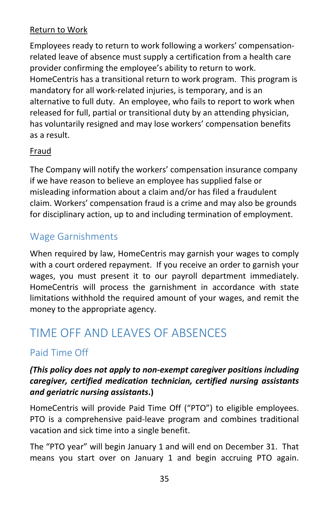#### Return to Work

Employees ready to return to work following a workers' compensationrelated leave of absence must supply a certification from a health care provider confirming the employee's ability to return to work. HomeCentris has a transitional return to work program. This program is mandatory for all work-related injuries, is temporary, and is an alternative to full duty. An employee, who fails to report to work when released for full, partial or transitional duty by an attending physician, has voluntarily resigned and may lose workers' compensation benefits as a result.

#### Fraud

The Company will notify the workers' compensation insurance company if we have reason to believe an employee has supplied false or misleading information about a claim and/or has filed a fraudulent claim. Workers' compensation fraud is a crime and may also be grounds for disciplinary action, up to and including termination of employment.

## <span id="page-35-0"></span>Wage Garnishments

When required by law, HomeCentris may garnish your wages to comply with a court ordered repayment. If you receive an order to garnish your wages, you must present it to our payroll department immediately. HomeCentris will process the garnishment in accordance with state limitations withhold the required amount of your wages, and remit the money to the appropriate agency.

# <span id="page-35-1"></span>TIME OFF AND LEAVES OF ABSENCES

## <span id="page-35-2"></span>Paid Time Off

#### *(This policy does not apply to non-exempt caregiver positions including caregiver, certified medication technician, certified nursing assistants and geriatric nursing assistants***.)**

HomeCentris will provide Paid Time Off ("PTO") to eligible employees. PTO is a comprehensive paid-leave program and combines traditional vacation and sick time into a single benefit.

The "PTO year" will begin January 1 and will end on December 31. That means you start over on January 1 and begin accruing PTO again.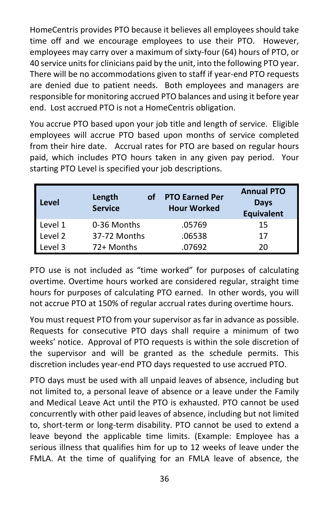HomeCentris provides PTO because it believes all employees should take time off and we encourage employees to use their PTO. However, employees may carry over a maximum of sixty-four (64) hours of PTO, or 40 service units for clinicians paid by the unit, into the following PTO year. There will be no accommodations given to staff if year-end PTO requests are denied due to patient needs. Both employees and managers are responsible for monitoring accrued PTO balances and using it before year end. Lost accrued PTO is not a HomeCentris obligation.

You accrue PTO based upon your job title and length of service. Eligible employees will accrue PTO based upon months of service completed from their hire date. Accrual rates for PTO are based on regular hours paid, which includes PTO hours taken in any given pay period. Your starting PTO Level is specified your job descriptions.

| Level   | Length<br><b>Service</b> | of | <b>PTO Earned Per</b><br><b>Hour Worked</b> | <b>Annual PTO</b><br><b>Days</b><br><b>Equivalent</b> |
|---------|--------------------------|----|---------------------------------------------|-------------------------------------------------------|
| Level 1 | 0-36 Months              |    | .05769                                      | 15                                                    |
| Level 2 | 37-72 Months             |    | .06538                                      | 17                                                    |
| Level 3 | 72+ Months               |    | .07692                                      | 20                                                    |

PTO use is not included as "time worked" for purposes of calculating overtime. Overtime hours worked are considered regular, straight time hours for purposes of calculating PTO earned. In other words, you will not accrue PTO at 150% of regular accrual rates during overtime hours.

You must request PTO from your supervisor as far in advance as possible. Requests for consecutive PTO days shall require a minimum of two weeks' notice. Approval of PTO requests is within the sole discretion of the supervisor and will be granted as the schedule permits. This discretion includes year-end PTO days requested to use accrued PTO.

PTO days must be used with all unpaid leaves of absence, including but not limited to, a personal leave of absence or a leave under the Family and Medical Leave Act until the PTO is exhausted. PTO cannot be used concurrently with other paid leaves of absence, including but not limited to, short-term or long-term disability. PTO cannot be used to extend a leave beyond the applicable time limits. (Example: Employee has a serious illness that qualifies him for up to 12 weeks of leave under the FMLA. At the time of qualifying for an FMLA leave of absence, the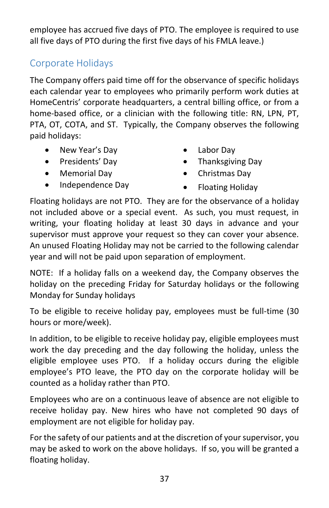employee has accrued five days of PTO. The employee is required to use all five days of PTO during the first five days of his FMLA leave.)

## <span id="page-37-0"></span>Corporate Holidays

The Company offers paid time off for the observance of specific holidays each calendar year to employees who primarily perform work duties at HomeCentris' corporate headquarters, a central billing office, or from a home-based office, or a clinician with the following title: RN, LPN, PT, PTA, OT, COTA, and ST. Typically, the Company observes the following paid holidays:

- New Year's Day
- Presidents' Day
- Memorial Day
- Independence Day
- Labor Day
- Thanksgiving Day
- Christmas Day
- Floating Holiday

Floating holidays are not PTO. They are for the observance of a holiday not included above or a special event. As such, you must request, in writing, your floating holiday at least 30 days in advance and your supervisor must approve your request so they can cover your absence. An unused Floating Holiday may not be carried to the following calendar year and will not be paid upon separation of employment.

NOTE: If a holiday falls on a weekend day, the Company observes the holiday on the preceding Friday for Saturday holidays or the following Monday for Sunday holidays

To be eligible to receive holiday pay, employees must be full-time (30 hours or more/week).

In addition, to be eligible to receive holiday pay, eligible employees must work the day preceding and the day following the holiday, unless the eligible employee uses PTO. If a holiday occurs during the eligible employee's PTO leave, the PTO day on the corporate holiday will be counted as a holiday rather than PTO.

Employees who are on a continuous leave of absence are not eligible to receive holiday pay. New hires who have not completed 90 days of employment are not eligible for holiday pay.

For the safety of our patients and at the discretion of your supervisor, you may be asked to work on the above holidays. If so, you will be granted a floating holiday.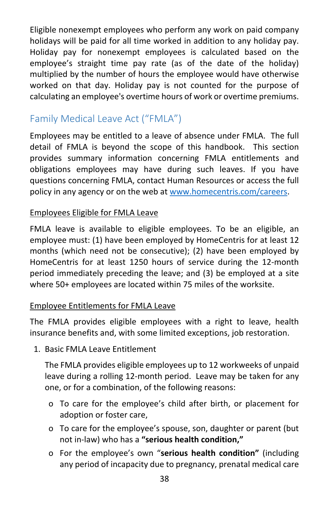Eligible nonexempt employees who perform any work on paid company holidays will be paid for all time worked in addition to any holiday pay. Holiday pay for nonexempt employees is calculated based on the employee's straight time pay rate (as of the date of the holiday) multiplied by the number of hours the employee would have otherwise worked on that day. Holiday pay is not counted for the purpose of calculating an employee's overtime hours of work or overtime premiums.

## <span id="page-38-0"></span>Family Medical Leave Act ("FMLA")

Employees may be entitled to a leave of absence under FMLA. The full detail of FMLA is beyond the scope of this handbook. This section provides summary information concerning FMLA entitlements and obligations employees may have during such leaves. If you have questions concerning FMLA, contact Human Resources or access the full policy in any agency or on the web at [www.homecentris.com/careers.](http://www.homecentris.com/careers)

#### Employees Eligible for FMLA Leave

FMLA leave is available to eligible employees. To be an eligible, an employee must: (1) have been employed by HomeCentris for at least 12 months (which need not be consecutive); (2) have been employed by HomeCentris for at least 1250 hours of service during the 12-month period immediately preceding the leave; and (3) be employed at a site where 50+ employees are located within 75 miles of the worksite.

#### Employee Entitlements for FMLA Leave

The FMLA provides eligible employees with a right to leave, health insurance benefits and, with some limited exceptions, job restoration.

1. Basic FMLA Leave Entitlement

The FMLA provides eligible employees up to 12 workweeks of unpaid leave during a rolling 12-month period. Leave may be taken for any one, or for a combination, of the following reasons:

- o To care for the employee's child after birth, or placement for adoption or foster care,
- o To care for the employee's spouse, son, daughter or parent (but not in-law) who has a **"serious health condition,"**
- o For the employee's own "**serious health condition"** (including any period of incapacity due to pregnancy, prenatal medical care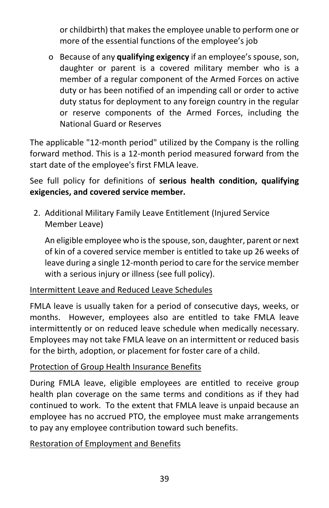or childbirth) that makes the employee unable to perform one or more of the essential functions of the employee's job

o Because of any **qualifying exigency** if an employee's spouse, son, daughter or parent is a covered military member who is a member of a regular component of the Armed Forces on active duty or has been notified of an impending call or order to active duty status for deployment to any foreign country in the regular or reserve components of the Armed Forces, including the National Guard or Reserves

The applicable "12-month period" utilized by the Company is the rolling forward method. This is a 12-month period measured forward from the start date of the employee's first FMLA leave.

See full policy for definitions of **serious health condition, qualifying exigencies, and covered service member.** 

2. Additional Military Family Leave Entitlement (Injured Service Member Leave)

An eligible employee who is the spouse, son, daughter, parent or next of kin of a covered service member is entitled to take up 26 weeks of leave during a single 12-month period to care for the service member with a serious injury or illness (see full policy).

#### Intermittent Leave and Reduced Leave Schedules

FMLA leave is usually taken for a period of consecutive days, weeks, or months. However, employees also are entitled to take FMLA leave intermittently or on reduced leave schedule when medically necessary. Employees may not take FMLA leave on an intermittent or reduced basis for the birth, adoption, or placement for foster care of a child.

#### Protection of Group Health Insurance Benefits

During FMLA leave, eligible employees are entitled to receive group health plan coverage on the same terms and conditions as if they had continued to work. To the extent that FMLA leave is unpaid because an employee has no accrued PTO, the employee must make arrangements to pay any employee contribution toward such benefits.

#### Restoration of Employment and Benefits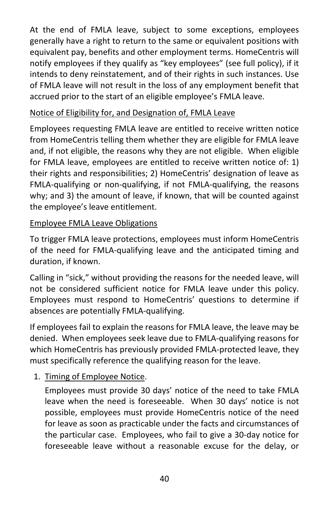At the end of FMLA leave, subject to some exceptions, employees generally have a right to return to the same or equivalent positions with equivalent pay, benefits and other employment terms. HomeCentris will notify employees if they qualify as "key employees" (see full policy), if it intends to deny reinstatement, and of their rights in such instances. Use of FMLA leave will not result in the loss of any employment benefit that accrued prior to the start of an eligible employee's FMLA leave.

#### Notice of Eligibility for, and Designation of, FMLA Leave

Employees requesting FMLA leave are entitled to receive written notice from HomeCentris telling them whether they are eligible for FMLA leave and, if not eligible, the reasons why they are not eligible. When eligible for FMLA leave, employees are entitled to receive written notice of: 1) their rights and responsibilities; 2) HomeCentris' designation of leave as FMLA-qualifying or non-qualifying, if not FMLA-qualifying, the reasons why; and 3) the amount of leave, if known, that will be counted against the employee's leave entitlement.

#### Employee FMLA Leave Obligations

To trigger FMLA leave protections, employees must inform HomeCentris of the need for FMLA-qualifying leave and the anticipated timing and duration, if known.

Calling in "sick," without providing the reasons for the needed leave, will not be considered sufficient notice for FMLA leave under this policy. Employees must respond to HomeCentris' questions to determine if absences are potentially FMLA-qualifying.

If employees fail to explain the reasons for FMLA leave, the leave may be denied. When employees seek leave due to FMLA-qualifying reasons for which HomeCentris has previously provided FMLA-protected leave, they must specifically reference the qualifying reason for the leave.

#### 1. Timing of Employee Notice.

Employees must provide 30 days' notice of the need to take FMLA leave when the need is foreseeable. When 30 days' notice is not possible, employees must provide HomeCentris notice of the need for leave as soon as practicable under the facts and circumstances of the particular case. Employees, who fail to give a 30-day notice for foreseeable leave without a reasonable excuse for the delay, or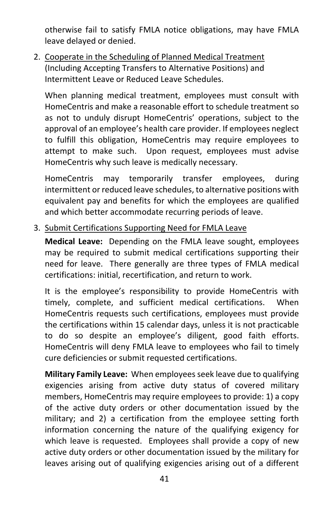otherwise fail to satisfy FMLA notice obligations, may have FMLA leave delayed or denied.

2. Cooperate in the Scheduling of Planned Medical Treatment (Including Accepting Transfers to Alternative Positions) and Intermittent Leave or Reduced Leave Schedules.

When planning medical treatment, employees must consult with HomeCentris and make a reasonable effort to schedule treatment so as not to unduly disrupt HomeCentris' operations, subject to the approval of an employee's health care provider. If employees neglect to fulfill this obligation, HomeCentris may require employees to attempt to make such. Upon request, employees must advise HomeCentris why such leave is medically necessary.

HomeCentris may temporarily transfer employees, during intermittent or reduced leave schedules, to alternative positions with equivalent pay and benefits for which the employees are qualified and which better accommodate recurring periods of leave.

3. Submit Certifications Supporting Need for FMLA Leave

**Medical Leave:** Depending on the FMLA leave sought, employees may be required to submit medical certifications supporting their need for leave. There generally are three types of FMLA medical certifications: initial, recertification, and return to work.

It is the employee's responsibility to provide HomeCentris with timely, complete, and sufficient medical certifications. When HomeCentris requests such certifications, employees must provide the certifications within 15 calendar days, unless it is not practicable to do so despite an employee's diligent, good faith efforts. HomeCentris will deny FMLA leave to employees who fail to timely cure deficiencies or submit requested certifications.

**Military Family Leave:** When employees seek leave due to qualifying exigencies arising from active duty status of covered military members, HomeCentris may require employees to provide: 1) a copy of the active duty orders or other documentation issued by the military; and 2) a certification from the employee setting forth information concerning the nature of the qualifying exigency for which leave is requested. Employees shall provide a copy of new active duty orders or other documentation issued by the military for leaves arising out of qualifying exigencies arising out of a different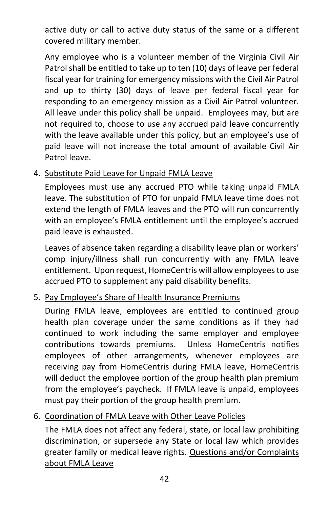active duty or call to active duty status of the same or a different covered military member.

Any employee who is a volunteer member of the Virginia Civil Air Patrol shall be entitled to take up to ten (10) days of leave per federal fiscal year for training for emergency missions with the Civil Air Patrol and up to thirty (30) days of leave per federal fiscal year for responding to an emergency mission as a Civil Air Patrol volunteer. All leave under this policy shall be unpaid. Employees may, but are not required to, choose to use any accrued paid leave concurrently with the leave available under this policy, but an employee's use of paid leave will not increase the total amount of available Civil Air Patrol leave.

#### 4. Substitute Paid Leave for Unpaid FMLA Leave

Employees must use any accrued PTO while taking unpaid FMLA leave. The substitution of PTO for unpaid FMLA leave time does not extend the length of FMLA leaves and the PTO will run concurrently with an employee's FMLA entitlement until the employee's accrued paid leave is exhausted.

Leaves of absence taken regarding a disability leave plan or workers' comp injury/illness shall run concurrently with any FMLA leave entitlement. Upon request, HomeCentris will allow employees to use accrued PTO to supplement any paid disability benefits.

#### 5. Pay Employee's Share of Health Insurance Premiums

During FMLA leave, employees are entitled to continued group health plan coverage under the same conditions as if they had continued to work including the same employer and employee contributions towards premiums. Unless HomeCentris notifies employees of other arrangements, whenever employees are receiving pay from HomeCentris during FMLA leave, HomeCentris will deduct the employee portion of the group health plan premium from the employee's paycheck. If FMLA leave is unpaid, employees must pay their portion of the group health premium.

#### 6. Coordination of FMLA Leave with Other Leave Policies

The FMLA does not affect any federal, state, or local law prohibiting discrimination, or supersede any State or local law which provides greater family or medical leave rights. Questions and/or Complaints about FMLA Leave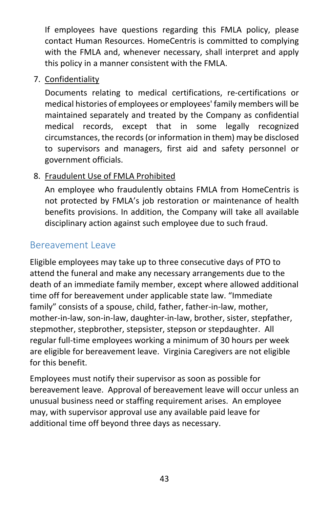If employees have questions regarding this FMLA policy, please contact Human Resources. HomeCentris is committed to complying with the FMLA and, whenever necessary, shall interpret and apply this policy in a manner consistent with the FMLA.

7. Confidentiality

Documents relating to medical certifications, re-certifications or medical histories of employees or employees' family members will be maintained separately and treated by the Company as confidential medical records, except that in some legally recognized circumstances, the records (or information in them) may be disclosed to supervisors and managers, first aid and safety personnel or government officials.

#### 8. Fraudulent Use of FMLA Prohibited

An employee who fraudulently obtains FMLA from HomeCentris is not protected by FMLA's job restoration or maintenance of health benefits provisions. In addition, the Company will take all available disciplinary action against such employee due to such fraud.

## <span id="page-43-0"></span>Bereavement Leave

Eligible employees may take up to three consecutive days of PTO to attend the funeral and make any necessary arrangements due to the death of an immediate family member, except where allowed additional time off for bereavement under applicable state law. "Immediate family" consists of a spouse, child, father, father-in-law, mother, mother-in-law, son-in-law, daughter-in-law, brother, sister, stepfather, stepmother, stepbrother, stepsister, stepson or stepdaughter. All regular full-time employees working a minimum of 30 hours per week are eligible for bereavement leave. Virginia Caregivers are not eligible for this benefit.

Employees must notify their supervisor as soon as possible for bereavement leave. Approval of bereavement leave will occur unless an unusual business need or staffing requirement arises. An employee may, with supervisor approval use any available paid leave for additional time off beyond three days as necessary.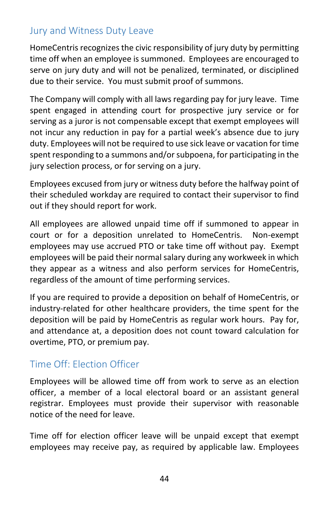## <span id="page-44-0"></span>Jury and Witness Duty Leave

HomeCentris recognizes the civic responsibility of jury duty by permitting time off when an employee is summoned. Employees are encouraged to serve on jury duty and will not be penalized, terminated, or disciplined due to their service. You must submit proof of summons.

The Company will comply with all laws regarding pay for jury leave. Time spent engaged in attending court for prospective jury service or for serving as a juror is not compensable except that exempt employees will not incur any reduction in pay for a partial week's absence due to jury duty. Employees will not be required to use sick leave or vacation for time spent responding to a summons and/or subpoena, for participating in the jury selection process, or for serving on a jury.

Employees excused from jury or witness duty before the halfway point of their scheduled workday are required to contact their supervisor to find out if they should report for work.

All employees are allowed unpaid time off if summoned to appear in court or for a deposition unrelated to HomeCentris. Non-exempt employees may use accrued PTO or take time off without pay. Exempt employees will be paid their normal salary during any workweek in which they appear as a witness and also perform services for HomeCentris, regardless of the amount of time performing services.

If you are required to provide a deposition on behalf of HomeCentris, or industry-related for other healthcare providers, the time spent for the deposition will be paid by HomeCentris as regular work hours. Pay for, and attendance at, a deposition does not count toward calculation for overtime, PTO, or premium pay.

## <span id="page-44-1"></span>Time Off: Election Officer

Employees will be allowed time off from work to serve as an election officer, a member of a local electoral board or an assistant general registrar. Employees must provide their supervisor with reasonable notice of the need for leave.

Time off for election officer leave will be unpaid except that exempt employees may receive pay, as required by applicable law. Employees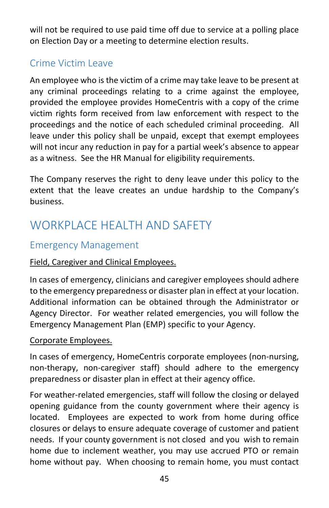<span id="page-45-0"></span>will not be required to use paid time off due to service at a polling place on Election Day or a meeting to determine election results.

## Crime Victim Leave

An employee who is the victim of a crime may take leave to be present at any criminal proceedings relating to a crime against the employee, provided the employee provides HomeCentris with a copy of the crime victim rights form received from law enforcement with respect to the proceedings and the notice of each scheduled criminal proceeding. All leave under this policy shall be unpaid, except that exempt employees will not incur any reduction in pay for a partial week's absence to appear as a witness. See the HR Manual for eligibility requirements.

The Company reserves the right to deny leave under this policy to the extent that the leave creates an undue hardship to the Company's business.

# WORKPLACE HEALTH AND SAFFTY

## <span id="page-45-1"></span>Emergency Management

#### Field, Caregiver and Clinical Employees.

In cases of emergency, clinicians and caregiver employees should adhere to the emergency preparedness or disaster plan in effect at your location. Additional information can be obtained through the Administrator or Agency Director. For weather related emergencies, you will follow the Emergency Management Plan (EMP) specific to your Agency.

#### Corporate Employees.

In cases of emergency, HomeCentris corporate employees (non-nursing, non-therapy, non-caregiver staff) should adhere to the emergency preparedness or disaster plan in effect at their agency office.

For weather-related emergencies, staff will follow the closing or delayed opening guidance from the county government where their agency is located. Employees are expected to work from home during office closures or delays to ensure adequate coverage of customer and patient needs. If your county government is not closed and you wish to remain home due to inclement weather, you may use accrued PTO or remain home without pay. When choosing to remain home, you must contact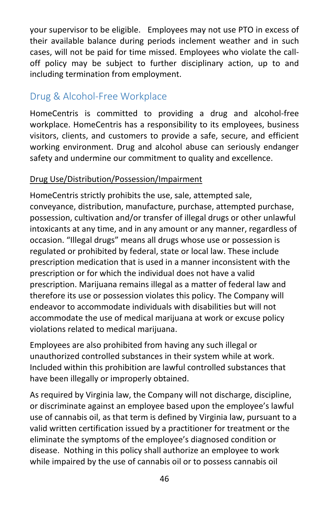your supervisor to be eligible. Employees may not use PTO in excess of their available balance during periods inclement weather and in such cases, will not be paid for time missed. Employees who violate the calloff policy may be subject to further disciplinary action, up to and including termination from employment.

## <span id="page-46-0"></span>Drug & Alcohol-Free Workplace

HomeCentris is committed to providing a drug and alcohol-free workplace. HomeCentris has a responsibility to its employees, business visitors, clients, and customers to provide a safe, secure, and efficient working environment. Drug and alcohol abuse can seriously endanger safety and undermine our commitment to quality and excellence.

#### Drug Use/Distribution/Possession/Impairment

HomeCentris strictly prohibits the use, sale, attempted sale, conveyance, distribution, manufacture, purchase, attempted purchase, possession, cultivation and/or transfer of illegal drugs or other unlawful intoxicants at any time, and in any amount or any manner, regardless of occasion. "Illegal drugs" means all drugs whose use or possession is regulated or prohibited by federal, state or local law. These include prescription medication that is used in a manner inconsistent with the prescription or for which the individual does not have a valid prescription. Marijuana remains illegal as a matter of federal law and therefore its use or possession violates this policy. The Company will endeavor to accommodate individuals with disabilities but will not accommodate the use of medical marijuana at work or excuse policy violations related to medical marijuana.

Employees are also prohibited from having any such illegal or unauthorized controlled substances in their system while at work. Included within this prohibition are lawful controlled substances that have been illegally or improperly obtained.

As required by Virginia law, the Company will not discharge, discipline, or discriminate against an employee based upon the employee's lawful use of cannabis oil, as that term is defined by Virginia law, pursuant to a valid written certification issued by a practitioner for treatment or the eliminate the symptoms of the employee's diagnosed condition or disease. Nothing in this policy shall authorize an employee to work while impaired by the use of cannabis oil or to possess cannabis oil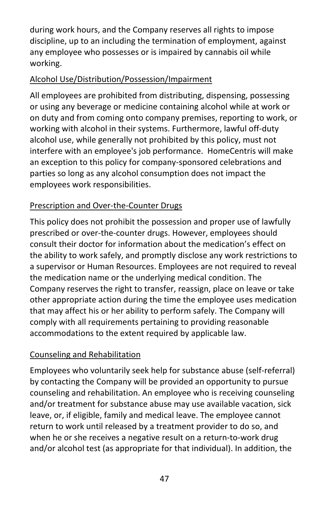during work hours, and the Company reserves all rights to impose discipline, up to an including the termination of employment, against any employee who possesses or is impaired by cannabis oil while working.

#### Alcohol Use/Distribution/Possession/Impairment

All employees are prohibited from distributing, dispensing, possessing or using any beverage or medicine containing alcohol while at work or on duty and from coming onto company premises, reporting to work, or working with alcohol in their systems. Furthermore, lawful off-duty alcohol use, while generally not prohibited by this policy, must not interfere with an employee's job performance. HomeCentris will make an exception to this policy for company-sponsored celebrations and parties so long as any alcohol consumption does not impact the employees work responsibilities.

## Prescription and Over-the-Counter Drugs

This policy does not prohibit the possession and proper use of lawfully prescribed or over-the-counter drugs. However, employees should consult their doctor for information about the medication's effect on the ability to work safely, and promptly disclose any work restrictions to a supervisor or Human Resources. Employees are not required to reveal the medication name or the underlying medical condition. The Company reserves the right to transfer, reassign, place on leave or take other appropriate action during the time the employee uses medication that may affect his or her ability to perform safely. The Company will comply with all requirements pertaining to providing reasonable accommodations to the extent required by applicable law.

## Counseling and Rehabilitation

Employees who voluntarily seek help for substance abuse (self-referral) by contacting the Company will be provided an opportunity to pursue counseling and rehabilitation. An employee who is receiving counseling and/or treatment for substance abuse may use available vacation, sick leave, or, if eligible, family and medical leave. The employee cannot return to work until released by a treatment provider to do so, and when he or she receives a negative result on a return-to-work drug and/or alcohol test (as appropriate for that individual). In addition, the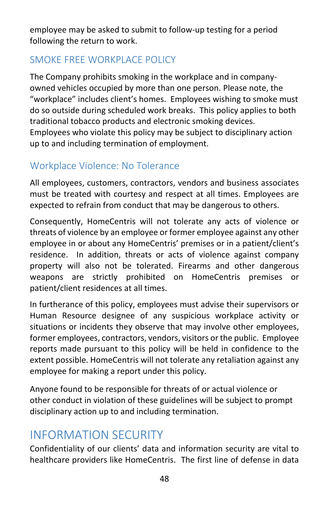employee may be asked to submit to follow-up testing for a period following the return to work.

## <span id="page-48-0"></span>SMOKE FREE WORKPLACE POLICY

The Company prohibits smoking in the workplace and in companyowned vehicles occupied by more than one person. Please note, the "workplace" includes client's homes. Employees wishing to smoke must do so outside during scheduled work breaks. This policy applies to both traditional tobacco products and electronic smoking devices. Employees who violate this policy may be subject to disciplinary action up to and including termination of employment.

## <span id="page-48-1"></span>Workplace Violence: No Tolerance

All employees, customers, contractors, vendors and business associates must be treated with courtesy and respect at all times. Employees are expected to refrain from conduct that may be dangerous to others.

Consequently, HomeCentris will not tolerate any acts of violence or threats of violence by an employee or former employee against any other employee in or about any HomeCentris' premises or in a patient/client's residence. In addition, threats or acts of violence against company property will also not be tolerated. Firearms and other dangerous weapons are strictly prohibited on HomeCentris premises or patient/client residences at all times.

In furtherance of this policy, employees must advise their supervisors or Human Resource designee of any suspicious workplace activity or situations or incidents they observe that may involve other employees, former employees, contractors, vendors, visitors or the public. Employee reports made pursuant to this policy will be held in confidence to the extent possible. HomeCentris will not tolerate any retaliation against any employee for making a report under this policy.

Anyone found to be responsible for threats of or actual violence or other conduct in violation of these guidelines will be subject to prompt disciplinary action up to and including termination.

# <span id="page-48-2"></span>INFORMATION SECURITY

Confidentiality of our clients' data and information security are vital to healthcare providers like HomeCentris. The first line of defense in data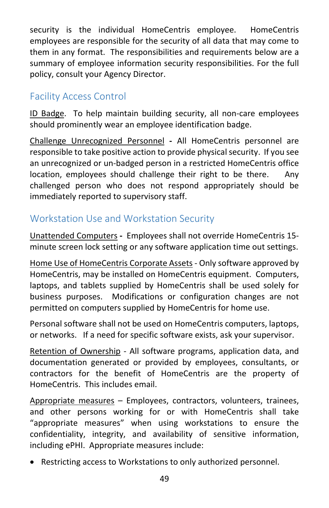security is the individual HomeCentris employee. HomeCentris employees are responsible for the security of all data that may come to them in any format. The responsibilities and requirements below are a summary of employee information security responsibilities. For the full policy, consult your Agency Director.

## <span id="page-49-0"></span>Facility Access Control

ID Badge. To help maintain building security, all non-care employees should prominently wear an employee identification badge.

Challenge Unrecognized Personnel **-** All HomeCentris personnel are responsible to take positive action to provide physical security. If you see an unrecognized or un-badged person in a restricted HomeCentris office location, employees should challenge their right to be there. Any challenged person who does not respond appropriately should be immediately reported to supervisory staff.

## <span id="page-49-1"></span>Workstation Use and Workstation Security

Unattended Computers **-** Employees shall not override HomeCentris 15 minute screen lock setting or any software application time out settings.

Home Use of HomeCentris Corporate Assets - Only software approved by HomeCentris, may be installed on HomeCentris equipment. Computers, laptops, and tablets supplied by HomeCentris shall be used solely for business purposes. Modifications or configuration changes are not permitted on computers supplied by HomeCentris for home use.

Personal software shall not be used on HomeCentris computers, laptops, or networks. If a need for specific software exists, ask your supervisor.

Retention of Ownership - All software programs, application data, and documentation generated or provided by employees, consultants, or contractors for the benefit of HomeCentris are the property of HomeCentris. This includes email.

Appropriate measures – Employees, contractors, volunteers, trainees, and other persons working for or with HomeCentris shall take "appropriate measures" when using workstations to ensure the confidentiality, integrity, and availability of sensitive information, including ePHI. Appropriate measures include:

• Restricting access to Workstations to only authorized personnel.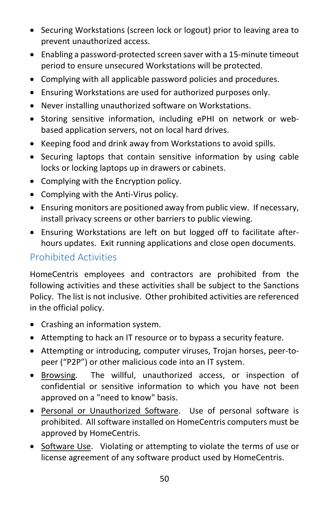- Securing Workstations (screen lock or logout) prior to leaving area to prevent unauthorized access.
- Enabling a password-protected screen saver with a 15-minute timeout period to ensure unsecured Workstations will be protected.
- Complying with all applicable password policies and procedures.
- Ensuring Workstations are used for authorized purposes only.
- Never installing unauthorized software on Workstations.
- Storing sensitive information, including ePHI on network or webbased application servers, not on local hard drives.
- Keeping food and drink away from Workstations to avoid spills.
- Securing laptops that contain sensitive information by using cable locks or locking laptops up in drawers or cabinets.
- Complying with the Encryption policy.
- Complying with the Anti-Virus policy.
- Ensuring monitors are positioned away from public view. If necessary, install privacy screens or other barriers to public viewing.
- Ensuring Workstations are left on but logged off to facilitate afterhours updates. Exit running applications and close open documents.

## <span id="page-50-0"></span>Prohibited Activities

HomeCentris employees and contractors are prohibited from the following activities and these activities shall be subject to the Sanctions Policy. The list is not inclusive. Other prohibited activities are referenced in the official policy.

- Crashing an information system.
- Attempting to hack an IT resource or to bypass a security feature.
- Attempting or introducing, computer viruses, Trojan horses, peer-topeer ("P2P") or other malicious code into an IT system.
- Browsing. The willful, unauthorized access, or inspection of confidential or sensitive information to which you have not been approved on a "need to know" basis.
- Personal or Unauthorized Software. Use of personal software is prohibited. All software installed on HomeCentris computers must be approved by HomeCentris.
- Software Use. Violating or attempting to violate the terms of use or license agreement of any software product used by HomeCentris.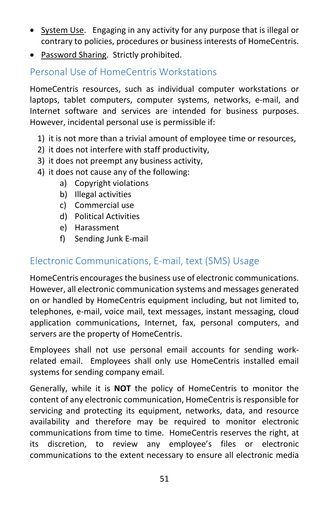- System Use. Engaging in any activity for any purpose that is illegal or contrary to policies, procedures or business interests of HomeCentris.
- Password Sharing. Strictly prohibited.

## <span id="page-51-0"></span>Personal Use of HomeCentris Workstations

HomeCentris resources, such as individual computer workstations or laptops, tablet computers, computer systems, networks, e-mail, and Internet software and services are intended for business purposes. However, incidental personal use is permissible if:

- 1) it is not more than a trivial amount of employee time or resources,
- 2) it does not interfere with staff productivity,
- 3) it does not preempt any business activity,
- 4) it does not cause any of the following:
	- a) Copyright violations
	- b) Illegal activities
	- c) Commercial use
	- d) Political Activities
	- e) Harassment
	- f) Sending Junk E-mail

## <span id="page-51-1"></span>Electronic Communications, E-mail, text (SMS) Usage

HomeCentris encourages the business use of electronic communications. However, all electronic communication systems and messages generated on or handled by HomeCentris equipment including, but not limited to, telephones, e-mail, voice mail, text messages, instant messaging, cloud application communications, Internet, fax, personal computers, and servers are the property of HomeCentris.

Employees shall not use personal email accounts for sending workrelated email. Employees shall only use HomeCentris installed email systems for sending company email.

Generally, while it is **NOT** the policy of HomeCentris to monitor the content of any electronic communication, HomeCentris is responsible for servicing and protecting its equipment, networks, data, and resource availability and therefore may be required to monitor electronic communications from time to time. HomeCentris reserves the right, at its discretion, to review any employee's files or electronic communications to the extent necessary to ensure all electronic media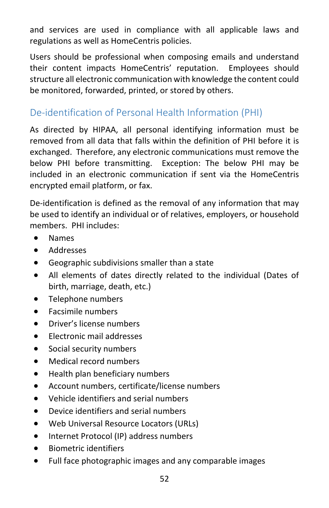and services are used in compliance with all applicable laws and regulations as well as HomeCentris policies.

Users should be professional when composing emails and understand their content impacts HomeCentris' reputation. Employees should structure all electronic communication with knowledge the content could be monitored, forwarded, printed, or stored by others.

## <span id="page-52-0"></span>De-identification of Personal Health Information (PHI)

As directed by HIPAA, all personal identifying information must be removed from all data that falls within the definition of PHI before it is exchanged. Therefore, any electronic communications must remove the below PHI before transmitting. Exception: The below PHI may be included in an electronic communication if sent via the HomeCentris encrypted email platform, or fax.

De-identification is defined as the removal of any information that may be used to identify an individual or of relatives, employers, or household members. PHI includes:

- Names
- Addresses
- Geographic subdivisions smaller than a state
- All elements of dates directly related to the individual (Dates of birth, marriage, death, etc.)
- Telephone numbers
- Facsimile numbers
- Driver's license numbers
- Electronic mail addresses
- Social security numbers
- Medical record numbers
- Health plan beneficiary numbers
- Account numbers, certificate/license numbers
- Vehicle identifiers and serial numbers
- Device identifiers and serial numbers
- Web Universal Resource Locators (URLs)
- Internet Protocol (IP) address numbers
- Biometric identifiers
- Full face photographic images and any comparable images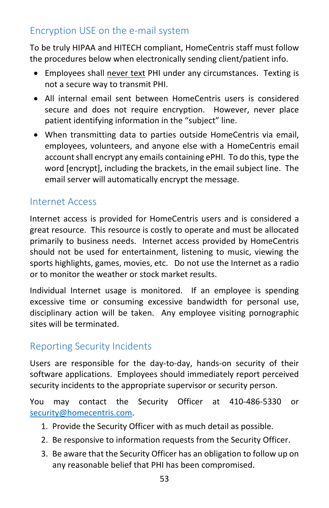## <span id="page-53-0"></span>Encryption USE on the e-mail system

To be truly HIPAA and HITECH compliant, HomeCentris staff must follow the procedures below when electronically sending client/patient info.

- Employees shall never text PHI under any circumstances. Texting is not a secure way to transmit PHI.
- All internal email sent between HomeCentris users is considered secure and does not require encryption. However, never place patient identifying information in the "subject" line.
- When transmitting data to parties outside HomeCentris via email, employees, volunteers, and anyone else with a HomeCentris email account shall encrypt any emails containing ePHI. To do this, type the word [encrypt], including the brackets, in the email subject line. The email server will automatically encrypt the message.

## <span id="page-53-1"></span>Internet Access

Internet access is provided for HomeCentris users and is considered a great resource. This resource is costly to operate and must be allocated primarily to business needs. Internet access provided by HomeCentris should not be used for entertainment, listening to music, viewing the sports highlights, games, movies, etc. Do not use the Internet as a radio or to monitor the weather or stock market results.

Individual Internet usage is monitored. If an employee is spending excessive time or consuming excessive bandwidth for personal use, disciplinary action will be taken. Any employee visiting pornographic sites will be terminated.

## <span id="page-53-2"></span>Reporting Security Incidents

Users are responsible for the day-to-day, hands-on security of their software applications. Employees should immediately report perceived security incidents to the appropriate supervisor or security person.

You may contact the Security Officer at 410-486-5330 or [security@homecentris.com.](mailto:security@homecentris.com)

- 1. Provide the Security Officer with as much detail as possible.
- 2. Be responsive to information requests from the Security Officer.
- 3. Be aware that the Security Officer has an obligation to follow up on any reasonable belief that PHI has been compromised.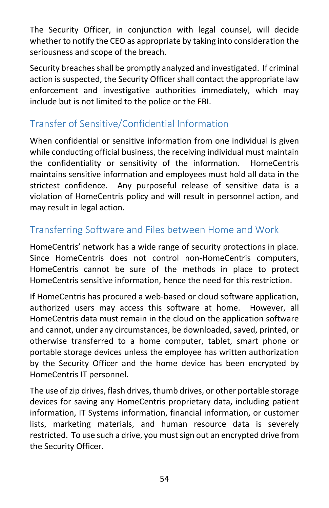The Security Officer, in conjunction with legal counsel, will decide whether to notify the CEO as appropriate by taking into consideration the seriousness and scope of the breach.

Security breaches shall be promptly analyzed and investigated. If criminal action is suspected, the Security Officer shall contact the appropriate law enforcement and investigative authorities immediately, which may include but is not limited to the police or the FBI.

## <span id="page-54-0"></span>Transfer of Sensitive/Confidential Information

When confidential or sensitive information from one individual is given while conducting official business, the receiving individual must maintain the confidentiality or sensitivity of the information. HomeCentris maintains sensitive information and employees must hold all data in the strictest confidence. Any purposeful release of sensitive data is a violation of HomeCentris policy and will result in personnel action, and may result in legal action.

## <span id="page-54-1"></span>Transferring Software and Files between Home and Work

HomeCentris' network has a wide range of security protections in place. Since HomeCentris does not control non-HomeCentris computers, HomeCentris cannot be sure of the methods in place to protect HomeCentris sensitive information, hence the need for this restriction.

If HomeCentris has procured a web-based or cloud software application, authorized users may access this software at home. However, all HomeCentris data must remain in the cloud on the application software and cannot, under any circumstances, be downloaded, saved, printed, or otherwise transferred to a home computer, tablet, smart phone or portable storage devices unless the employee has written authorization by the Security Officer and the home device has been encrypted by HomeCentris IT personnel.

The use of zip drives, flash drives, thumb drives, or other portable storage devices for saving any HomeCentris proprietary data, including patient information, IT Systems information, financial information, or customer lists, marketing materials, and human resource data is severely restricted. To use such a drive, you must sign out an encrypted drive from the Security Officer.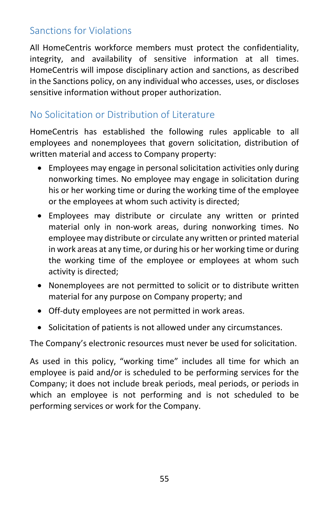## <span id="page-55-0"></span>Sanctions for Violations

All HomeCentris workforce members must protect the confidentiality, integrity, and availability of sensitive information at all times. HomeCentris will impose disciplinary action and sanctions, as described in the Sanctions policy, on any individual who accesses, uses, or discloses sensitive information without proper authorization.

## <span id="page-55-1"></span>No Solicitation or Distribution of Literature

HomeCentris has established the following rules applicable to all employees and nonemployees that govern solicitation, distribution of written material and access to Company property:

- Employees may engage in personal solicitation activities only during nonworking times. No employee may engage in solicitation during his or her working time or during the working time of the employee or the employees at whom such activity is directed;
- Employees may distribute or circulate any written or printed material only in non-work areas, during nonworking times. No employee may distribute or circulate any written or printed material in work areas at any time, or during his or her working time or during the working time of the employee or employees at whom such activity is directed;
- Nonemployees are not permitted to solicit or to distribute written material for any purpose on Company property; and
- Off-duty employees are not permitted in work areas.
- Solicitation of patients is not allowed under any circumstances.

The Company's electronic resources must never be used for solicitation.

As used in this policy, "working time" includes all time for which an employee is paid and/or is scheduled to be performing services for the Company; it does not include break periods, meal periods, or periods in which an employee is not performing and is not scheduled to be performing services or work for the Company.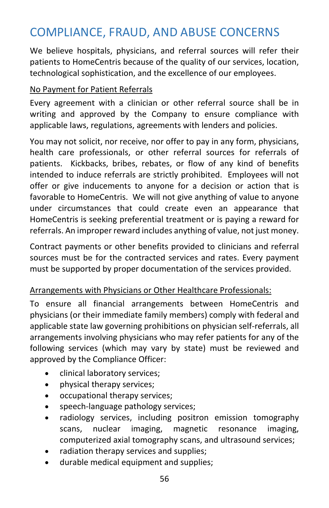# <span id="page-56-0"></span>COMPLIANCE, FRAUD, AND ABUSE CONCERNS

We believe hospitals, physicians, and referral sources will refer their patients to HomeCentris because of the quality of our services, location, technological sophistication, and the excellence of our employees.

#### No Payment for Patient Referrals

Every agreement with a clinician or other referral source shall be in writing and approved by the Company to ensure compliance with applicable laws, regulations, agreements with lenders and policies.

You may not solicit, nor receive, nor offer to pay in any form, physicians, health care professionals, or other referral sources for referrals of patients. Kickbacks, bribes, rebates, or flow of any kind of benefits intended to induce referrals are strictly prohibited. Employees will not offer or give inducements to anyone for a decision or action that is favorable to HomeCentris. We will not give anything of value to anyone under circumstances that could create even an appearance that HomeCentris is seeking preferential treatment or is paying a reward for referrals. An improper reward includes anything of value, not just money.

Contract payments or other benefits provided to clinicians and referral sources must be for the contracted services and rates. Every payment must be supported by proper documentation of the services provided.

#### Arrangements with Physicians or Other Healthcare Professionals:

To ensure all financial arrangements between HomeCentris and physicians (or their immediate family members) comply with federal and applicable state law governing prohibitions on physician self-referrals, all arrangements involving physicians who may refer patients for any of the following services (which may vary by state) must be reviewed and approved by the Compliance Officer:

- clinical laboratory services;
- physical therapy services;
- occupational therapy services;
- speech-language pathology services;
- radiology services, including positron emission tomography scans, nuclear imaging, magnetic resonance imaging, computerized axial tomography scans, and ultrasound services;
- radiation therapy services and supplies;
- durable medical equipment and supplies;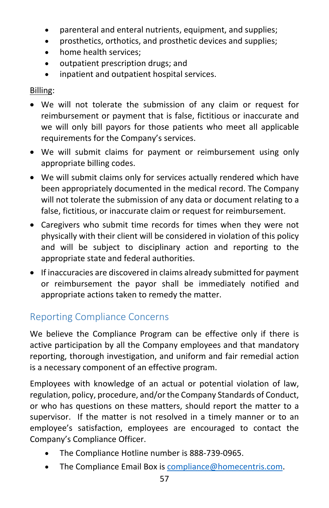- parenteral and enteral nutrients, equipment, and supplies;
- prosthetics, orthotics, and prosthetic devices and supplies;
- home health services:
- outpatient prescription drugs; and
- inpatient and outpatient hospital services.

#### Billing:

- We will not tolerate the submission of any claim or request for reimbursement or payment that is false, fictitious or inaccurate and we will only bill payors for those patients who meet all applicable requirements for the Company's services.
- We will submit claims for payment or reimbursement using only appropriate billing codes.
- We will submit claims only for services actually rendered which have been appropriately documented in the medical record. The Company will not tolerate the submission of any data or document relating to a false, fictitious, or inaccurate claim or request for reimbursement.
- Caregivers who submit time records for times when they were not physically with their client will be considered in violation of this policy and will be subject to disciplinary action and reporting to the appropriate state and federal authorities.
- If inaccuracies are discovered in claims already submitted for payment or reimbursement the payor shall be immediately notified and appropriate actions taken to remedy the matter.

## <span id="page-57-0"></span>Reporting Compliance Concerns

We believe the Compliance Program can be effective only if there is active participation by all the Company employees and that mandatory reporting, thorough investigation, and uniform and fair remedial action is a necessary component of an effective program.

Employees with knowledge of an actual or potential violation of law, regulation, policy, procedure, and/or the Company Standards of Conduct, or who has questions on these matters, should report the matter to a supervisor. If the matter is not resolved in a timely manner or to an employee's satisfaction, employees are encouraged to contact the Company's Compliance Officer.

- The Compliance Hotline number is 888-739-0965.
- The Compliance Email Box is [compliance@homecentris.com.](mailto:compliance@homecentris.com)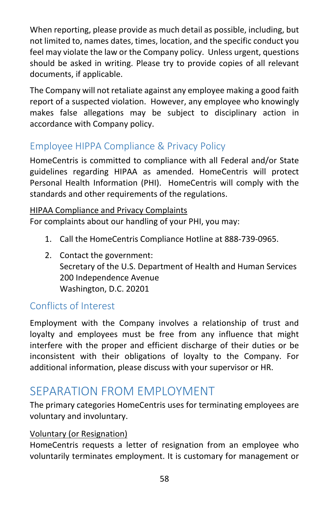When reporting, please provide as much detail as possible, including, but not limited to, names dates, times, location, and the specific conduct you feel may violate the law or the Company policy. Unless urgent, questions should be asked in writing. Please try to provide copies of all relevant documents, if applicable.

The Company will not retaliate against any employee making a good faith report of a suspected violation. However, any employee who knowingly makes false allegations may be subject to disciplinary action in accordance with Company policy.

## <span id="page-58-0"></span>Employee HIPPA Compliance & Privacy Policy

HomeCentris is committed to compliance with all Federal and/or State guidelines regarding HIPAA as amended. HomeCentris will protect Personal Health Information (PHI). HomeCentris will comply with the standards and other requirements of the regulations.

#### <span id="page-58-1"></span>HIPAA Compliance and Privacy Complaints

For complaints about our handling of your PHI, you may:

- 1. Call the HomeCentris Compliance Hotline at 888-739-0965.
- 2. Contact the government: Secretary of the U.S. Department of Health and Human Services 200 Independence Avenue Washington, D.C. 20201

## <span id="page-58-2"></span>Conflicts of Interest

Employment with the Company involves a relationship of trust and loyalty and employees must be free from any influence that might interfere with the proper and efficient discharge of their duties or be inconsistent with their obligations of loyalty to the Company. For additional information, please discuss with your supervisor or HR.

# <span id="page-58-3"></span>SEPARATION FROM EMPLOYMENT

The primary categories HomeCentris uses for terminating employees are voluntary and involuntary.

#### Voluntary (or Resignation)

HomeCentris requests a letter of resignation from an employee who voluntarily terminates employment. It is customary for management or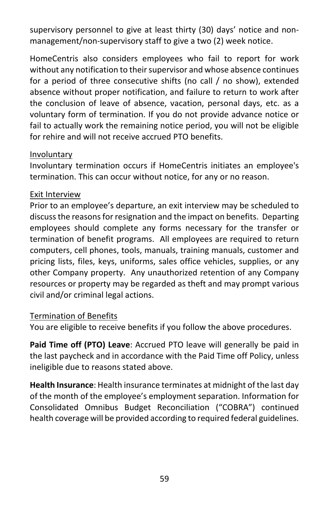supervisory personnel to give at least thirty (30) days' notice and nonmanagement/non-supervisory staff to give a two (2) week notice.

HomeCentris also considers employees who fail to report for work without any notification to their supervisor and whose absence continues for a period of three consecutive shifts (no call / no show), extended absence without proper notification, and failure to return to work after the conclusion of leave of absence, vacation, personal days, etc. as a voluntary form of termination. If you do not provide advance notice or fail to actually work the remaining notice period, you will not be eligible for rehire and will not receive accrued PTO benefits.

#### Involuntary

Involuntary termination occurs if HomeCentris initiates an employee's termination. This can occur without notice, for any or no reason.

#### Exit Interview

Prior to an employee's departure, an exit interview may be scheduled to discuss the reasons for resignation and the impact on benefits. Departing employees should complete any forms necessary for the transfer or termination of benefit programs. All employees are required to return computers, cell phones, tools, manuals, training manuals, customer and pricing lists, files, keys, uniforms, sales office vehicles, supplies, or any other Company property. Any unauthorized retention of any Company resources or property may be regarded as theft and may prompt various civil and/or criminal legal actions.

#### Termination of Benefits

You are eligible to receive benefits if you follow the above procedures.

**Paid Time off (PTO) Leave**: Accrued PTO leave will generally be paid in the last paycheck and in accordance with the Paid Time off Policy, unless ineligible due to reasons stated above.

**Health Insurance**: Health insurance terminates at midnight of the last day of the month of the employee's employment separation. Information for Consolidated Omnibus Budget Reconciliation ("COBRA") continued health coverage will be provided according to required federal guidelines.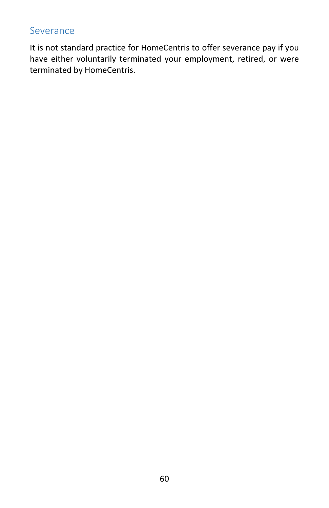#### <span id="page-60-0"></span>Severance

It is not standard practice for HomeCentris to offer severance pay if you have either voluntarily terminated your employment, retired, or were terminated by HomeCentris.